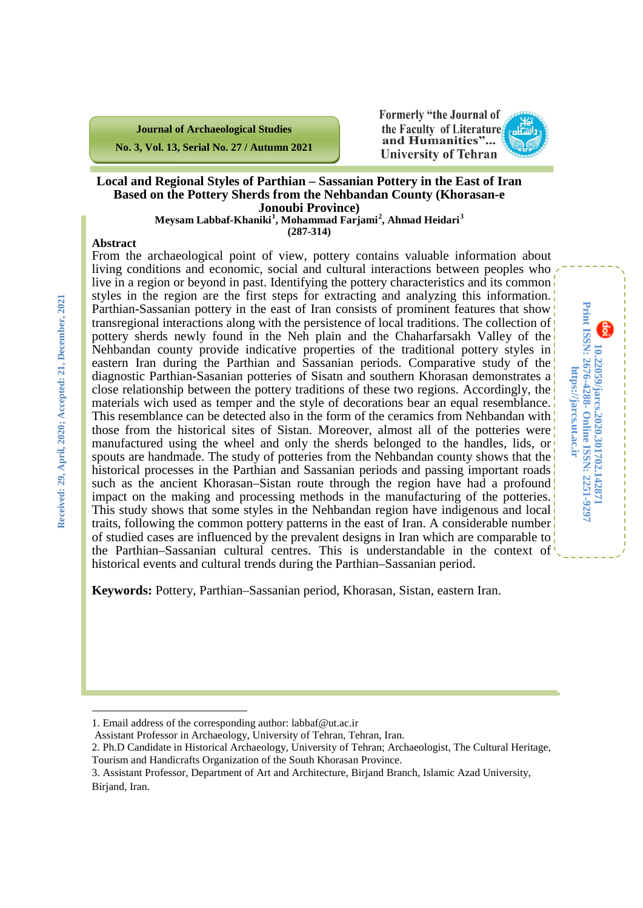**Journal of Archaeological Studies No. 3, Vol. 13, Serial No. 27 / Autumn 2021** **Formerly "the Journal of** the Faculty of Literature. and Humanities"... **University of Tehran** 



**10.22059/jarcs.2020.301702.142871**

**Online ISSN: 2251-9297**

Print ISSN: 2676-4288- Online ISSN: 2251-9297 10.22059/jarcs.2020.301702.142871

**https://jarcs.ut.ac.ir**

https://jarcs.ut.ac.ir

**Print ISSN: 2676-4288-**

#### **Local and Regional Styles of Parthian – Sassanian Pottery in the East of Iran Based on the Pottery Sherds from the Nehbandan County (Khorasan-e Jonoubi Province)**

**Meysam Labbaf-Khaniki[1](#page-0-0) , Mohammad Farjami[2](#page-0-1) , Ahmad Heidari[3](#page-0-2) (287-314)**

#### **Abstract**

From the archaeological point of view, pottery contains valuable information about living conditions and economic, social and cultural interactions between peoples who live in a region or beyond in past. Identifying the pottery characteristics and its common styles in the region are the first steps for extracting and analyzing this information. Parthian-Sassanian pottery in the east of Iran consists of prominent features that show transregional interactions along with the persistence of local traditions. The collection of pottery sherds newly found in the Neh plain and the Chaharfarsakh Valley of the Nehbandan county provide indicative properties of the traditional pottery styles in eastern Iran during the Parthian and Sassanian periods. Comparative study of the diagnostic Parthian-Sasanian potteries of Sisatn and southern Khorasan demonstrates a close relationship between the pottery traditions of these two regions. Accordingly, the materials wich used as temper and the style of decorations bear an equal resemblance. This resemblance can be detected also in the form of the ceramics from Nehbandan with those from the historical sites of Sistan. Moreover, almost all of the potteries were manufactured using the wheel and only the sherds belonged to the handles, lids, or spouts are handmade. The study of potteries from the Nehbandan county shows that the historical processes in the Parthian and Sassanian periods and passing important roads such as the ancient Khorasan–Sistan route through the region have had a profound impact on the making and processing methods in the manufacturing of the potteries. This study shows that some styles in the Nehbandan region have indigenous and local traits, following the common pottery patterns in the east of Iran. A considerable number of studied cases are influenced by the prevalent designs in Iran which are comparable to the Parthian–Sassanian cultural centres. This is understandable in the context of historical events and cultural trends during the Parthian–Sassanian period.

**Keywords:** Pottery, Parthian–Sassanian period, Khorasan, Sistan, eastern Iran.

 $\overline{a}$ 

<span id="page-0-0"></span><sup>1.</sup> Email address of the corresponding author: labbaf@ut.ac.ir

Assistant Professor in Archaeology, University of Tehran, Tehran, Iran.

<span id="page-0-1"></span><sup>2.</sup> Ph.D Candidate in Historical Archaeology, University of Tehran; Archaeologist, The Cultural Heritage, Tourism and Handicrafts Organization of the South Khorasan Province.

<span id="page-0-2"></span><sup>3.</sup> Assistant Professor, Department of Art and Architecture, Birjand Branch, Islamic Azad University, Birjand, Iran.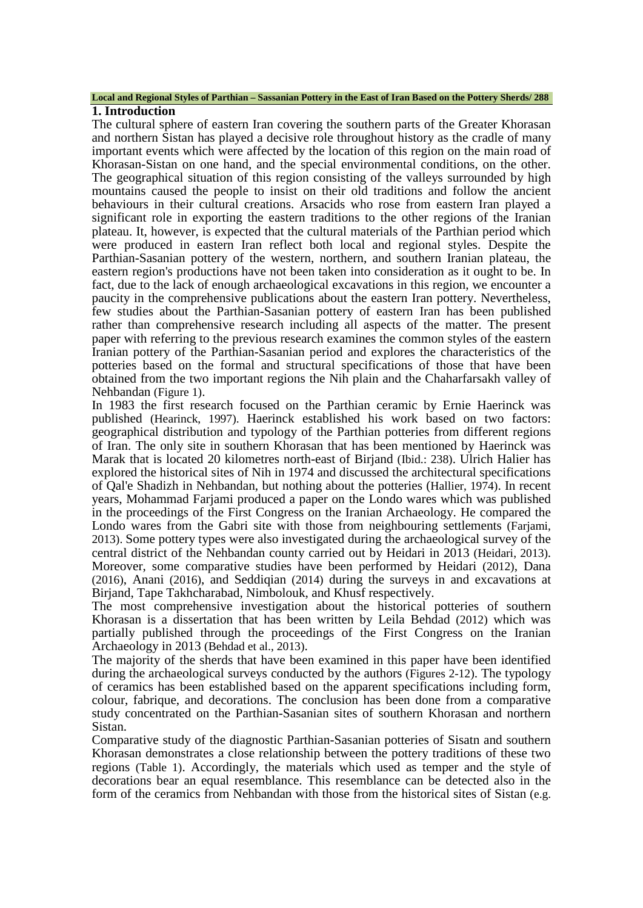### **Local and Regional Styles of Parthian – Sassanian Pottery in the East of Iran Based on the Pottery Sherds/ 288**

#### **1. Introduction**

The cultural sphere of eastern Iran covering the southern parts of the Greater Khorasan and northern Sistan has played a decisive role throughout history as the cradle of many important events which were affected by the location of this region on the main road of Khorasan-Sistan on one hand, and the special environmental conditions, on the other. The geographical situation of this region consisting of the valleys surrounded by high mountains caused the people to insist on their old traditions and follow the ancient behaviours in their cultural creations. Arsacids who rose from eastern Iran played a significant role in exporting the eastern traditions to the other regions of the Iranian plateau. It, however, is expected that the cultural materials of the Parthian period which were produced in eastern Iran reflect both local and regional styles. Despite the Parthian-Sasanian pottery of the western, northern, and southern Iranian plateau, the eastern region's productions have not been taken into consideration as it ought to be. In fact, due to the lack of enough archaeological excavations in this region, we encounter a paucity in the comprehensive publications about the eastern Iran pottery. Nevertheless, few studies about the Parthian-Sasanian pottery of eastern Iran has been published rather than comprehensive research including all aspects of the matter. The present paper with referring to the previous research examines the common styles of the eastern Iranian pottery of the Parthian-Sasanian period and explores the characteristics of the potteries based on the formal and structural specifications of those that have been obtained from the two important regions the Nih plain and the Chaharfarsakh valley of Nehbandan (Figure 1).

In 1983 the first research focused on the Parthian ceramic by Ernie Haerinck was published (Hearinck, 1997). Haerinck established his work based on two factors: geographical distribution and typology of the Parthian potteries from different regions of Iran. The only site in southern Khorasan that has been mentioned by Haerinck was Marak that is located 20 kilometres north-east of Birjand (Ibid.: 238). Ulrich Halier has explored the historical sites of Nih in 1974 and discussed the architectural specifications of Qal'e Shadizh in Nehbandan, but nothing about the potteries (Hallier, 1974). In recent years, Mohammad Farjami produced a paper on the Londo wares which was published in the proceedings of the First Congress on the Iranian Archaeology. He compared the Londo wares from the Gabri site with those from neighbouring settlements (Fariami, 2013). Some pottery types were also investigated during the archaeological survey of the central district of the Nehbandan county carried out by Heidari in 2013 (Heidari, 2013). Moreover, some comparative studies have been performed by Heidari (2012), Dana (2016), Anani (2016), and Seddiqian (2014) during the surveys in and excavations at Birjand, Tape Takhcharabad, Nimbolouk, and Khusf respectively.

The most comprehensive investigation about the historical potteries of southern Khorasan is a dissertation that has been written by Leila Behdad (2012) which was partially published through the proceedings of the First Congress on the Iranian Archaeology in 2013 (Behdad et al., 2013).

The majority of the sherds that have been examined in this paper have been identified during the archaeological surveys conducted by the authors (Figures 2-12). The typology of ceramics has been established based on the apparent specifications including form, colour, fabrique, and decorations. The conclusion has been done from a comparative study concentrated on the Parthian-Sasanian sites of southern Khorasan and northern Sistan.

Comparative study of the diagnostic Parthian-Sasanian potteries of Sisatn and southern Khorasan demonstrates a close relationship between the pottery traditions of these two regions (Table 1). Accordingly, the materials which used as temper and the style of decorations bear an equal resemblance. This resemblance can be detected also in the form of the ceramics from Nehbandan with those from the historical sites of Sistan (e.g.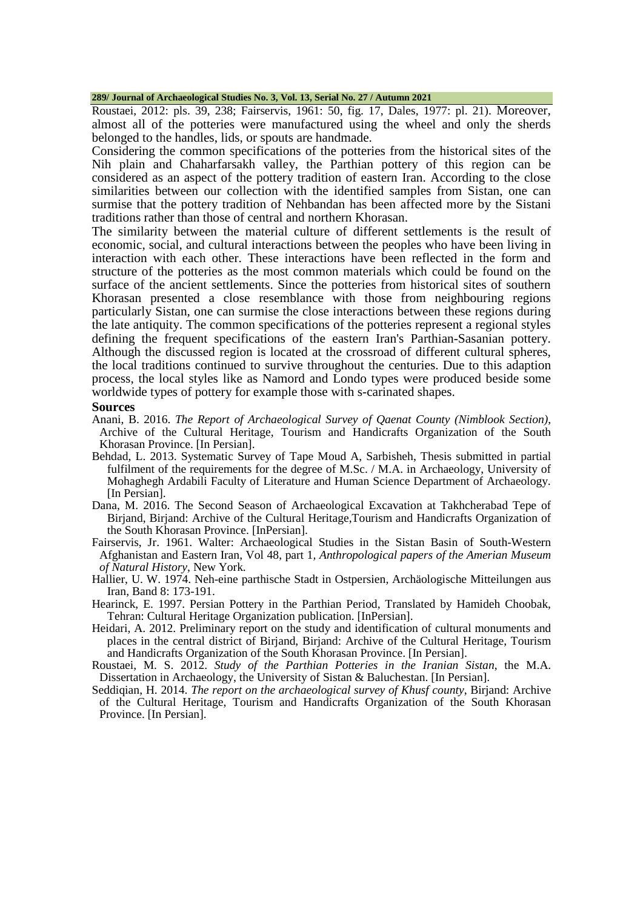#### **289/ Journal of Archaeological Studies No. 3, Vol. 13, Serial No. 27 / Autumn 2021**

Roustaei, 2012: pls. 39, 238; Fairservis, 1961: 50, fig. 17, Dales, 1977: pl. 21). Moreover, almost all of the potteries were manufactured using the wheel and only the sherds belonged to the handles, lids, or spouts are handmade.

Considering the common specifications of the potteries from the historical sites of the Nih plain and Chaharfarsakh valley, the Parthian pottery of this region can be considered as an aspect of the pottery tradition of eastern Iran. According to the close similarities between our collection with the identified samples from Sistan, one can surmise that the pottery tradition of Nehbandan has been affected more by the Sistani traditions rather than those of central and northern Khorasan.

The similarity between the material culture of different settlements is the result of economic, social, and cultural interactions between the peoples who have been living in interaction with each other. These interactions have been reflected in the form and structure of the potteries as the most common materials which could be found on the surface of the ancient settlements. Since the potteries from historical sites of southern Khorasan presented a close resemblance with those from neighbouring regions particularly Sistan, one can surmise the close interactions between these regions during the late antiquity. The common specifications of the potteries represent a regional styles defining the frequent specifications of the eastern Iran's Parthian-Sasanian pottery. Although the discussed region is located at the crossroad of different cultural spheres, the local traditions continued to survive throughout the centuries. Due to this adaption process, the local styles like as Namord and Londo types were produced beside some worldwide types of pottery for example those with s-carinated shapes.

#### **Sources**

- Anani, B. 2016. *The Report of Archaeological Survey of Qaenat County (Nimblook Section)*, Archive of the Cultural Heritage, Tourism and Handicrafts Organization of the South Khorasan Province. [In Persian].
- Behdad, L. 2013. Systematic Survey of Tape Moud A, Sarbisheh, Thesis submitted in partial fulfilment of the requirements for the degree of M.Sc. / M.A. in Archaeology, University of Mohaghegh Ardabili Faculty of Literature and Human Science Department of Archaeology. [In Persian].
- Dana, M. 2016. The Second Season of Archaeological Excavation at Takhcherabad Tepe of Birjand, Birjand: Archive of the Cultural Heritage,Tourism and Handicrafts Organization of the South Khorasan Province. [InPersian].
- Fairservis, Jr. 1961. Walter: Archaeological Studies in the Sistan Basin of South-Western Afghanistan and Eastern Iran, Vol 48, part 1*, Anthropological papers of the Amerian Museum of Natural History*, New York.
- Hallier, U. W. 1974. Neh-eine parthische Stadt in Ostpersien, Archäologische Mitteilungen aus Iran, Band 8: 173-191.
- Hearinck, E. 1997. Persian Pottery in the Parthian Period, Translated by Hamideh Choobak, Tehran: Cultural Heritage Organization publication. [InPersian].
- Heidari, A. 2012. Preliminary report on the study and identification of cultural monuments and places in the central district of Birjand, Birjand: Archive of the Cultural Heritage, Tourism and Handicrafts Organization of the South Khorasan Province. [In Persian].

Roustaei, M. S. 2012. *Study of the Parthian Potteries in the Iranian Sistan*, the M.A. Dissertation in Archaeology, the University of Sistan & Baluchestan. [In Persian].

Seddiqian, H. 2014. *The report on the archaeological survey of Khusf county*, Birjand: Archive of the Cultural Heritage, Tourism and Handicrafts Organization of the South Khorasan Province. [In Persian].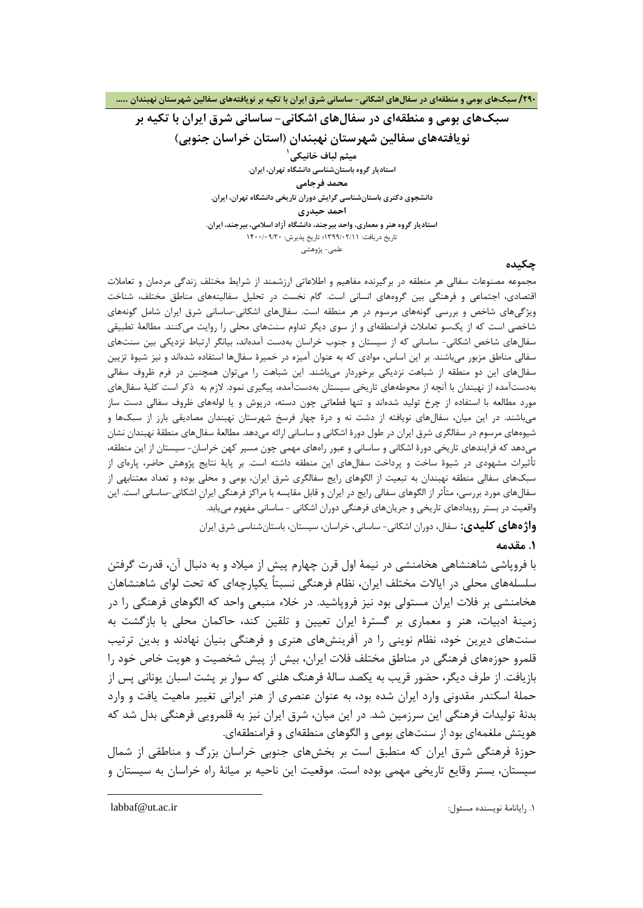**سبکهاي بومی و منطقهاي در سفالهاي اشکانی- ساسانی شرق ایران با تکیه بر نویافتههاي سفالین شهرستان نهبندان (استان خراسان جنوبی) 1 میثم لباف خانیکی استادیار گروه باستانشناسی دانشگاه تهران، ایران. محمد فرجامی دانشجوي دکتري باستانشناسی گرایش دوران تاریخی دانشگاه تهران، ایران. احمد حیدري استادیار گروه هنر و معمار[ي](#page-3-0)، واحد بیرجند، دانشگاه آزاد اسلامی، بیرجند، ایران.** تاریخ دریافت: 1399/02/11؛ تاریخ پذیرش: 1400/09/30

علمی- پژوهشی

#### **چکیده**

مجموعه مصنوعات سفالی هر منطقه در برگیرنده مفاهیم و اطلاعاتی ارزشمند از شرایط مختلف زندگی مردمان و تعاملات اقتصادي، اجتماعی و فرهنگی بین گروههاي انسانی است. گام نخست در تحلیل سفالینههاي مناطق مختلف، شناخت ویژگیهاي شاخص و بررسی گونههاي مرسوم در هر منطقه است. سفالهاي اشکانی-ساسانی شرق ایران شامل گونههاي شاخصی است که از یکسو تعاملات فرامنطقهاي و از سوي دیگر تداوم سنتهاي محلی را روایت میکنند. مطالعۀ تطبیقی سفالهاي شاخص اشکانی- ساسانی که از سیستان و جنوب خراسان بهدست آمدهاند، بیانگر ارتباط نزدیکی بین سنتهاي سفالی مناطق مزبور میباشند. بر این اساس، موادي که به عنوان آمیزه در خمیرة سفالها استفاده شدهاند و نیز شیوة تزیین سفالهاي این دو منطقه از شباهت نزدیکی برخوردار میباشند. این شباهت را میتوان همچنین در فرم ظروف سفالی بهدستآمده از نهبندان با آنچه از محوطههاي تاریخی سیستان بهدستآمده، پیگیري نمود. لازم به ذکر است کلیۀ سفالهاي مورد مطالعه با استفاده از چرخ تولید شدهاند و تنها قطعاتی چون دسته، درپوش و یا لولههاي ظروف سفالی دست ساز میباشند. در این میان، سفالهاي نویافته از دشت نه و درة چهار فرسخ شهرستان نهبندان مصادیقی بارز از سبکها و شیوههاي مرسوم در سفالگري شرق ایران در طول دورة اشکانی و ساسانی ارائه میدهد. مطالعۀ سفالهاي منطقۀ نهبندان نشان میدهد که فرایندهاي تاریخی دورة اشکانی و ساسانی و عبور راههاي مهمی چون مسیر کهن خراسان- سیستان از این منطقه، تأثیرات مشهودي در شیوة ساخت و پرداخت سفالهاي این منطقه داشته است. بر پایۀ نتایج پژوهش حاضر، پارهاي از سبکهاي سفالی منطقه نهبندان به تبعیت از الگوهاي رایج سفالگري شرق ایران، بومی و محلی بوده و تعداد معتنابهی از سفالهاي مورد بررسی، متأثر از الگوهاي سفالی رایج در ایران و قابل مقایسه با مراکز فرهنگی ایرانِ اشکانی-ساسانی است. این واقعیت در بستر رویدادهاي تاریخی و جریانهاي فرهنگی دوران اشکانی - ساسانی مفهوم مییابد. **واژههاي کلیدي:** سفال، دوران اشکانی- ساسانی، خراسان، سیستان، باستانشناسی شرق ایران **.1 مقدمه**

با فروپاشی شاهنشاهی هخامنشی در نیمۀ اول قرن چهارم پیش از میلاد و به دنبال آن، قدرت گرفتن سلسلههاي محلی در ایالات مختلف ایران، نظام فرهنگی نسبتاً یکپارچهاي که تحت لواي شاهنشاهان هخامنشی بر فلات ایران مستولی بود نیز فروپاشید. در خلاء منبعی واحد که الگوهاي فرهنگی را در زمینۀ ادبیات، هنر و معماري بر گسترة ایران تعیین و تلقین کند، حاکمان محلی با بازگشت به سنتهاي دیرین خود، نظام نوینی را در آفرینشهاي هنري و فرهنگی بنیان نهادند و بدین ترتیب قلمرو حوزههاي فرهنگی در مناطق مختلف فلات ایران، بیش از پیش شخصیت و هویت خاص خود را بازیافت. از طرف دیگر، حضور قریب به یکصد سالۀ فرهنگ هلنی که سوار بر پشت اسبان یونانی پس از حملۀ اسکندر مقدونی وارد ایران شده بود، به عنوان عنصري از هنر ایرانی تغییر ماهیت یافت و وارد بدنۀ تولیدات فرهنگی این سرزمین شد. در این میان، شرق ایران نیز به قلمرویی فرهنگی بدل شد که هویتش ملغمهاي بود از سنتهاي بومی و الگوهاي منطقهاي و فرامنطقهاي.

حوزة فرهنگی شرق ایران که منطبق است بر بخشهاي جنوبی خراسان بزرگ و مناطقی از شمال سیستان، بستر وقایع تاریخی مهمی بوده است. موقعیت این ناحیه بر میانۀ راه خراسان به سیستان و

<span id="page-3-0"></span>

 $\overline{a}$ 

labbaf@ut.ac.ir :مسئول نویسنده رایانامۀ .1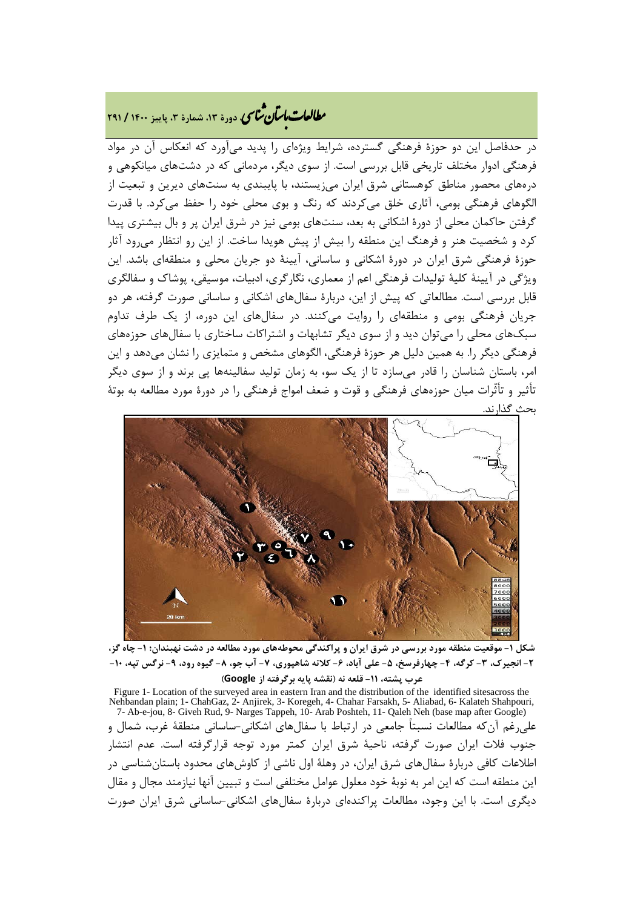### **، دورة ،13 شمارة ،3 پاییز <sup>1400</sup> / <sup>291</sup>** �نا� �طا با� تان ی �عات

در حدفاصل این دو حوزة فرهنگی گسترده، شرایط ویژهاي را پدید میآورد که انعکاس آن در مواد فرهنگی ادوار مختلف تاریخی قابل بررسی است. از سوي دیگر، مردمانی که در دشتهاي میانکوهی و درههاي محصور مناطق کوهستانی شرق ایران میزیستند، با پایبندي به سنتهاي دیرین و تبعیت از الگوهاي فرهنگی بومی، آثاري خلق میکردند که رنگ و بوي محلی خود را حفظ میکرد. با قدرت گرفتن حاکمان محلی از دورة اشکانی به بعد، سنتهاي بومی نیز در شرق ایران پر و بال بیشتري پیدا کرد و شخصیت هنر و فرهنگ این منطقه را بیش از پیش هویدا ساخت. از این رو انتظار میرود آثار حوزة فرهنگی شرق ایران در دورة اشکانی و ساسانی، آیینۀ دو جریان محلی و منطقهاي باشد. این ویژگی در آیینۀ کلیۀ تولیدات فرهنگی اعم از معماري، نگارگري، ادبیات، موسیقی، پوشاك و سفالگري قابل بررسی است. مطالعاتی که پیش از این، دربارة سفالهاي اشکانی و ساسانی صورت گرفته، هر دو جریان فرهنگی بومی و منطقهاي را روایت میکنند. در سفالهاي این دوره، از یک طرف تداوم سبکهاي محلی را میتوان دید و از سوي دیگر تشابهات و اشتراکات ساختاري با سفالهاي حوزههاي فرهنگی دیگر را. به همین دلیل هر حوزة فرهنگی، الگوهاي مشخص و متمایزي را نشان میدهد و این امر، باستان شناسان را قادر میسازد تا از یک سو، به زمان تولید سفالینهها پی برند و از سوي دیگر تأثیر و تأثّرات میان حوزههاي فرهنگی و قوت و ضعف امواج فرهنگی را در دورة مورد مطالعه به بوتۀ بحث گذارند.



**شکل -1 موقعیت منطقه مورد بررسی در شرق ایران و پراکندگی محوطههاي مورد مطالعه در دشت نهبندان؛ -1 چاه گز، -2 انجیرك، -3 کرگه، -4 چهارفرسخ، -5 علی آباد، -6 کلاته شاهپوري، -7 آب جو، -8 گیوه رود، -9 نرگس تپه، -10 عرب پشته، -11 قلعه نه (نقشه پایه برگرفته از Google(**

Figure 1- Location of the surveyed area in eastern Iran and the distribution of the identified sitesacross the Nehbandan plain; 1- ChahGaz, 2- Anjirek, 3- Koregeh, 4- Chahar Farsakh, 5- Aliabad, 6- Kalateh Shahpouri, 7- Ab-e-jou, 8- Giveh Rud, 9- Narges Tappeh, 10- Arab Poshteh, 11- Qaleh Neh (base map after Google) علیرغم آنکه مطالعات نسبتاً جامعی در ارتباط با سفالهاي اشکانی-ساسانی منطقۀ غرب، شمال و جنوب فلات ایران صورت گرفته، ناحیۀ شرق ایران کمتر مورد توجه قرارگرفته است. عدم انتشار اطلاعات کافی دربارة سفالهاي شرق ایران، در وهلۀ اول ناشی از کاوشهاي محدود باستانشناسی در این منطقه است که این امر به نوبۀ خود معلول عوامل مختلفی است و تبیین آنها نیازمند مجال و مقال دیگري است. با این وجود، مطالعات پراکندهاي دربارة سفالهاي اشکانی-ساسانی شرق ایران صورت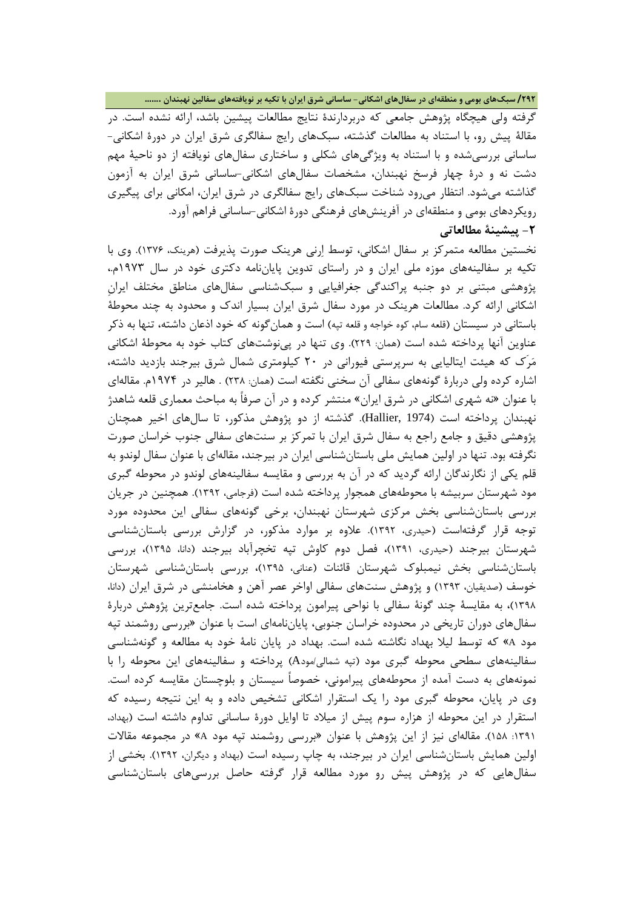**/292 سبکهاي بومی و منطقهاي در سفالهاي اشکانی- ساسانی شرق ایران با تکیه بر نویافتههاي سفالین نهبندان .......**

گرفته ولی هیچگاه پژوهش جامعی که دربردارندة نتایج مطالعات پیشین باشد، ارائه نشده است. در مقالۀ پیش رو، با استناد به مطالعات گذشته، سبکهاي رایج سفالگري شرق ایران در دورة اشکانی- ساسانی بررسیشده و با استناد به ویژگیهاي شکلی و ساختاري سفالهاي نویافته از دو ناحیۀ مهم دشت نه و درة چهار فرسخ نهبندان، مشخصات سفالهاي اشکانی-ساسانی شرق ایران به آزمون گذاشته میشود. انتظار میرود شناخت سبکهاي رایج سفالگري در شرق ایران، امکانی براي پیگیري رویکردهاي بومی و منطقهاي در آفرینشهاي فرهنگی دورة اشکانی-ساسانی فراهم آورد. **-2 پیشینۀ مطالعاتی**

نخستین مطالعه متمرکز بر سفال اشکانی، توسط ارنی هرینک صورت پذیرفت (هرینک، 1376). وي با تکیه بر سفالینههاي موزه ملی ایران و در راستاي تدوین پایاننامه دکتري خود در سال 1973م،. پژوهشی مبتنی بر دو جنبه پراکندگی جغرافیایی و سبکشناسی سفالهاي مناطق مختلف ایرانِ اشکانی ارائه کرد. مطالعات هرینک در مورد سفال شرق ایران بسیار اندك و محدود به چند محوطۀ باستانی در سیستان (قلعه سام، کوه خواجه و قلعه تپه) است و همانگونه که خود اذعان داشته، تنها به ذکر عناوین آنها پرداخته شده است (همان: 229). وي تنها در پینوشتهاي کتاب خود به محوطۀ اشکانی مرَك که هیئت ایتالیایی به سرپرستی فیورانی در 20 کیلومتري شمال شرق بیرجند بازدید داشته، اشاره کرده ولی دربارة گونههاي سفالی آن سخنی نگفته است (همان: 238) . هالیر در 1974م. مقالهاي با عنوان «نه شهري اشکانی در شرق ایران» منتشر کرده و در آن صرفاً به مباحث معماري قلعه شاهدژ نهبندان پرداخته است (1974 ,Hallier(. گذشته از دو پژوهش مذکور، تا سالهاي اخیر همچنان پژوهشی دقیق و جامع راجع به سفال شرق ایران با تمرکز بر سنتهاي سفالی جنوب خراسان صورت نگرفته بود. تنها در اولین همایش ملی باستانشناسی ایران در بیرجند، مقالهاي با عنوان سفال لوندو به قلم یکی از نگارندگان ارائه گردید که در آن به بررسی و مقایسه سفالینههاي لوندو در محوطه گبري مود شهرستان سربیشه با محوطههاي همجوار پرداخته شده است (فرجامی، 1392). همچنین در جریان بررسی باستانشناسی بخش مرکزي شهرستان نهبندان، برخی گونههاي سفالی این محدوده مورد توجه قرار گرفتهاست (حیدري، 1392). علاوه بر موارد مذکور، در گزارش بررسی باستانشناسی شهرستان بیرجند (حیدري، 1391)، فصل دوم کاوش تپه تخچرآباد بیرجند (دانا، 1395)، بررسی باستانشناسی بخش نیمبلوك شهرستان قائنات (عنانی، 1395)، بررسی باستانشناسی شهرستان خوسف (صدیقیان، 1393) و پژوهش سنتهاي سفالی اواخر عصر آهن و هخامنشی در شرق ایران (دانا، 1398)، به مقایسۀ چند گونۀ سفالی با نواحی پیرامون پرداخته شده است. جامعترین پژوهش دربارة سفالهاي دوران تاریخی در محدوده خراسان جنوبی، پایاننامهاي است با عنوان «بررسی روشمند تپه مود <sup>A</sup> «که توسط لیلا بهداد نگاشته شده است. بهداد در پایان نامۀ خود به مطالعه و گونهشناسی سفالینههاي سطحی محوطه گبري مود (تپه شمالی/مودA (پرداخته و سفالینههاي این محوطه را با نمونههاي به دست آمده از محوطههاي پیرامونی، خصوصاً سیستان و بلوچستان مقایسه کرده است. وي در پایان، محوطه گبري مود را یک استقرار اشکانی تشخیص داده و به این نتیجه رسیده که استقرار در این محوطه از هزاره سوم پیش از میلاد تا اوایل دورة ساسانی تداوم داشته است (بهداد، :1391 158). مقالهاي نیز از این پژوهش با عنوان «بررسی روشمند تپه مود <sup>A</sup> «در مجموعه مقالات اولین همایش باستانشناسی ایران در بیرجند، به چاپ رسیده است (بهداد و دیگران، 1392). بخشی از سفالهایی که در پژوهش پیش رو مورد مطالعه قرار گرفته حاصل بررسیهاي باستانشناسی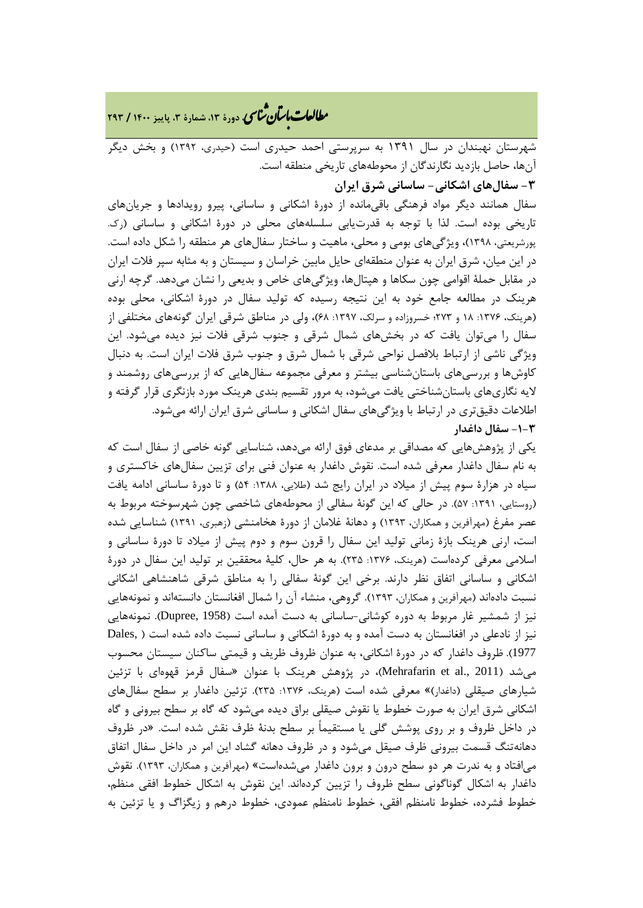**، دورة ،13 شمارة ،3 پاییز <sup>1400</sup> / <sup>293</sup>** �نا� �طا با� تان ی �عات

شهرستان نهبندان در سال 1391 به سرپرستی احمد حیدري است (حیدري، 1392) و بخش دیگر آنها، حاصل بازدید نگارندگان از محوطههاي تاریخی منطقه است. **-3 سفالهاي اشکانی- ساسانی شرق ایران**

سفال همانند دیگر مواد فرهنگی باقیمانده از دورة اشکانی و ساسانی، پیرو رویدادها و جریانهاي تاریخی بوده است. لذا با توجه به قدرتیابی سلسلههاي محلی در دورة اشکانی و ساسانی (رك. پورشریعتی، 1398)، ویژگیهاي بومی و محلی، ماهیت و ساختار سفالهاي هر منطقه را شکل داده است. در این میان، شرق ایران به عنوان منطقهاي حایل مابین خراسان و سیستان و به مثابه سپر فلات ایران در مقابل حملۀ اقوامی چون سکاها و هپتالها، ویژگیهاي خاص و بدیعی را نشان میدهد. گرچه ارنی هرینک در مطالعه جامع خود به این نتیجه رسیده که تولید سفال در دورة اشکانی، محلی بوده (هرینک، ۱۳۷۶: ۱۸ و ۲۷۳؛ خسروزاده و سرلک، ۱۳۹۷: ۶۸)، ولی در مناطق شرقی ایران گونههای مختلفی از سفال را میتوان یافت که در بخشهاي شمال شرقی و جنوب شرقی فلات نیز دیده میشود. این ویژگی ناشی از ارتباط بلافصل نواحی شرقی با شمال شرق و جنوب شرق فلات ایران است. به دنبال کاوشها و بررسیهاي باستانشناسی بیشتر و معرفی مجموعه سفالهایی که از بررسیهاي روشمند و لایه نگاريهاي باستانشناختی یافت میشود، به مرور تقسیم بندي هرینک مورد بازنگري قرار گرفته و اطلاعات دقیقتري در ارتباط با ویژگیهاي سفال اشکانی و ساسانی شرق ایران ارائه میشود. **-1-3 سفال داغدار**

یکی از پژوهشهایی که مصداقی بر مدعاي فوق ارائه میدهد، شناسایی گونه خاصی از سفال است که به نام سفال داغدار معرفی شده است. نقوش داغدار به عنوان فنی براي تزیین سفالهاي خاکستري و سیاه در هزارهٔ سوم پیش از میلاد در ایران رایج شد (طلایی، ۱۳۸۸: ۵۴) و تا دورهٔ ساسانی ادامه یافت (روستایی، :1391 57). در حالی که این گونۀ سفالی از محوطههاي شاخصی چون شهرسوخته مربوط به عصر مفرغ (مهرآفرین و همکاران، 1393) و دهانۀ غلامان از دورة هخامنشی (زهبري، 1391) شناسایی شده است، ارنی هرینک بازة زمانی تولید این سفال را قرون سوم و دوم پیش از میلاد تا دورة ساسانی و اسلامی معرفی کردهاست (هرینک، ۱۳۷۶: ۲۳۵). به هر حال، کلیۀ محققین بر تولید این سفال در دورهٔ اشکانی و ساسانی اتفاق نظر دارند. برخی این گونۀ سفالی را به مناطق شرقی شاهنشاهی اشکانی نسبت دادهاند (مهرآفرین و همکاران، 1393). گروهی، منشاء آن را شمال افغانستان دانستهاند و نمونههایی نیز از شمشیر غار مربوط به دوره کوشانی-ساسانی به دست آمده است (1958 ,Dupree(. نمونههایی نیز از نادعلی در افغانستان به دست آمده و به دورة اشکانی و ساسانی نسبت داده شده است ( ,Dales 1977). ظروف داغدار که در دورة اشکانی، به عنوان ظروف ظریف و قیمتی ساکنان سیستان محسوب میشد (Mehrafarin et al., 2011)، در پژوهش هرینک با عنوان «سفال قرمز قهوهای با تزئین شیارهاي صیقلی (داغدار)» معرفی شده است (هرینک، :1376 235). تزئین داغدار بر سطح سفالهاي اشکانی شرق ایران به صورت خطوط یا نقوش صیقلی براق دیده میشود که گاه بر سطح بیرونی و گاه در داخل ظروف و بر روي پوشش گلی یا مستقیماً بر سطح بدنۀ ظرف نقش شده است. «در ظروف دهانهتنگ قسمت بیرونی ظرف صیقل میشود و در ظروف دهانه گشاد این امر در داخل سفال اتفاق میافتاد و به ندرت هر دو سطح درون و برون داغدار میشدهاست» (مهرآفرین و همکاران، 1393). نقوش داغدار به اشکال گوناگونی سطح ظروف را تزیین کردهاند. این نقوش به اشکال خطوط افقی منظم، خطوط فشرده، خطوط نامنظم افقی، خطوط نامنظم عمودي، خطوط درهم و زیگزاگ و یا تزئین به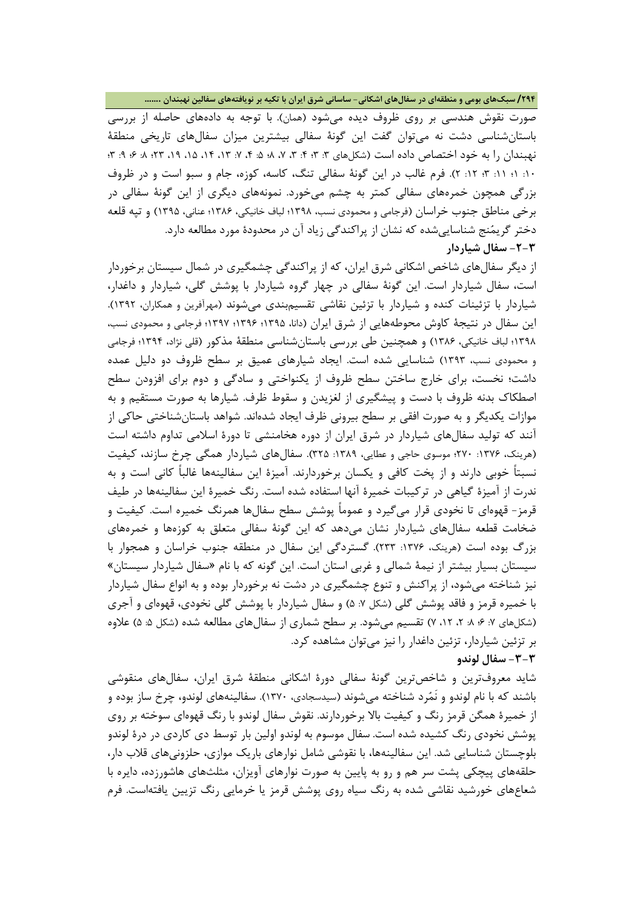#### **/294 سبکهاي بومی و منطقهاي در سفالهاي اشکانی- ساسانی شرق ایران با تکیه بر نویافتههاي سفالین نهبندان .......**

صورت نقوش هندسی بر روي ظروف دیده میشود (همان). با توجه به دادههاي حاصله از بررسی باستانشناسی دشت نه میتوان گفت این گونۀ سفالی بیشترین میزان سفالهاي تاریخی منطقۀ نهبندان را به خود اختصاص داده است (شکلهاي ۳: ۳: ۴: ۳، ۷، ۸؛ ۵: ۴، ۱۴، ۱۴، ۱۵، ۱۹، ۳: ۰۶؛ ۰۹: ۳: :10 1؛ :11 3؛ :12 2). فرم غالب در این گونۀ سفالی تنگ، کاسه، کوزه، جام و سبو است و در ظروف بزرگی همچون خمرههاي سفالی کمتر به چشم میخورد. نمونههاي دیگري از این گونۀ سفالی در برخی مناطق جنوب خراسان (فرجامی و محمودي نسب، 1398؛ لباف خانیکی، 1386؛ عنانی، 1395) و تپه قلعه دختر گریمنج شناساییشده که نشان از پراکندگی زیاد آن در محدودة مورد مطالعه دارد. **-2-3 سفال شیاردار**

از دیگر سفالهاي شاخص اشکانی شرق ایران، که از پراکندگی چشمگیري در شمال سیستان برخوردار است، سفال شیاردار است. این گونۀ سفالی در چهار گروه شیاردار با پوشش گلی، شیاردار و داغدار، شیاردار با تزئینات کنده و شیاردار با تزئین نقاشی تقسیمبندي میشوند (مهرآفرین و همکاران، 1392). این سفال در نتیجۀ کاوش محوطههایی از شرق ایران (دانا، 1395؛ 1396؛ 1397؛ فرجامی و محمودي نسب، 1398؛ لباف خانیکی، 1386) و همچنین طی بررسی باستانشناسی منطقۀ مذکور (قلی نژاد، 1394؛ فرجامی و محمودي نسب، 1393) شناسایی شده است. ایجاد شیارهاي عمیق بر سطح ظروف دو دلیل عمده داشت؛ نخست، براي خارج ساختن سطح ظروف از یکنواختی و سادگی و دوم براي افزودن سطح اصطکاك بدنه ظروف با دست و پیشگیري از لغزیدن و سقوط ظرف. شیارها به صورت مستقیم و به موازات یکدیگر و به صورت افقی بر سطح بیرونی ظرف ایجاد شدهاند. شواهد باستانشناختی حاکی از آنند که تولید سفالهاي شیاردار در شرق ایران از دوره هخامنشی تا دورة اسلامی تداوم داشته است (هرینک، ۱۳۷۶: ۲۷۰؛ موسوی حاجی و عطایی، ۱۳۸۹: ۳۲۵). سفالهای شیاردار همگی چرخ سازند، کیفیت نسبتاً خوبی دارند و از پخت کافی و یکسان برخوردارند. آمیزة این سفالینهها غالباً کانی است و به ندرت از آمیزة گیاهی در ترکیبات خمیرة آنها استفاده شده است. رنگ خمیرة این سفالینهها در طیف قرمز- قهوهاي تا نخودي قرار میگیرد و عموماً پوشش سطح سفالها همرنگ خمیره است. کیفیت و ضخامت قطعه سفالهاي شیاردار نشان میدهد که این گونۀ سفالی متعلق به کوزهها و خمرههاي بزرگ بوده است (هرینک، :1376 233). گستردگی این سفال در منطقه جنوب خراسان و همجوار با سیستان بسیار بیشتر از نیمۀ شمالی و غربی استان است. این گونه که با نام «سفال شیاردار سیستان» نیز شناخته میشود، از پراکنش و تنوع چشمگیري در دشت نه برخوردار بوده و به انواع سفال شیاردار با خمیره قرمز و فاقد پوشش گلی (شکل ٧: ۵) و سفال شیاردار با پوشش گلی نخودی، قهوهای و آجری (شکلهای ۷: ۶؛ ۸: ۲، ۲، ۷) تقسیم میشود. بر سطح شماری از سفالهای مطالعه شده (شکل ۵: ۵) علاوه بر تزئین شیاردار، تزئین داغدار را نیز میتوان مشاهده کرد.

#### **-3-3 سفال لوندو**

شاید معروفترین و شاخصترین گونۀ سفالی دورة اشکانی منطقۀ شرق ایران، سفالهاي منقوشی باشند که با نام لوندو و نَمرد شناخته میشوند (سیدسجادي، 1370). سفالینههاي لوندو، چرخ ساز بوده و از خمیرة همگن قرمز رنگ و کیفیت بالا برخوردارند. نقوش سفال لوندو با رنگ قهوهاي سوخته بر روي پوشش نخودي رنگ کشیده شده است. سفال موسوم به لوندو اولین بار توسط دي کاردي در درة لوندو بلوچستان شناسایی شد. این سفالینهها، با نقوشی شامل نوارهاي باریک موازي، حلزونیهاي قلاب دار، حلقههاي پیچکی پشت سر هم و رو به پایین به صورت نوارهاي آویزان، مثلثهاي هاشورزده، دایره با شعاعهاي خورشید نقاشی شده به رنگ سیاه روي پوشش قرمز یا خرمایی رنگ تزیین یافتهاست. فرم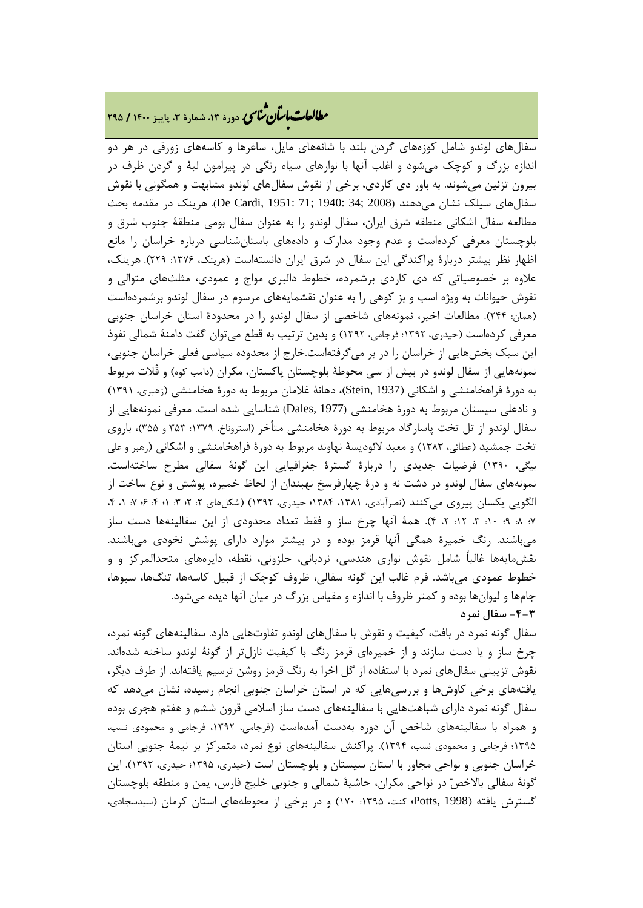# **، دورة ،13 شمارة ،3 پاییز <sup>1400</sup> / <sup>295</sup>** �نا� �طا با� تان ی �عات

سفالهاي لوندو شامل کوزههاي گردن بلند با شانههاي مایل، ساغرها و کاسههاي زورقی در هر دو اندازه بزرگ و کوچک میشود و اغلب آنها با نوارهاي سیاه رنگی در پیرامون لبۀ و گردن ظرف در بیرون تزئین میشوند. به باور دي کاردي، برخی از نقوش سفالهاي لوندو مشابهت و همگونی با نقوش سفالهاي سیلک نشان میدهند (2008 ;34 1940: ;71 1951: ,Cardi De(. هرینک در مقدمه بحث مطالعه سفال اشکانی منطقه شرق ایران، سفال لوندو را به عنوان سفال بومی منطقۀ جنوب شرق و بلوچستان معرفی کردهاست و عدم وجود مدارك و دادههاي باستانشناسی درباره خراسان را مانع اظهار نظر بیشتر دربارهٔ پراکندگی این سفال در شرق ایران دانستهاست (هرینک، ۱۳۷۶: ۲۲۹). هرینک، علاوه بر خصوصیاتی که دي کاردي برشمرده، خطوط دالبري مواج و عمودي، مثلثهاي متوالی و نقوش حیوانات به ویژه اسب و بز کوهی را به عنوان نقشمایههاي مرسوم در سفال لوندو برشمردهاست (همان: 244). مطالعات اخیر، نمونههاي شاخصی از سفال لوندو را در محدودة استان خراسان جنوبی معرفی کردهاست (حیدري، 1392؛ فرجامی، 1392) و بدین ترتیب به قطع میتوان گفت دامنۀ شمالی نفوذ این سبک بخشهایی از خراسان را در بر میگرفتهاست.خارج از محدوده سیاسی فعلی خراسان جنوبی، نمونههایی از سفال لوندو در بیش از سی محوطۀ بلوچستانِ پاکستان، مکران (دامب کوه) و قُلات مربوط به دورة فراهخامنشی و اشکانی (1937 ,Stein(، دهانۀ غلامان مربوط به دورة هخامنشی (زهبري، 1391) و نادعلی سیستان مربوط به دورة هخامنشی (1977 ,Dales (شناسایی شده است. معرفی نمونههایی از سفال لوندو از تل تخت پاسارگاد مربوط به دورة هخامنشی متأخر (استروناخ، :1379 353 و 355)، باروي تخت جمشید (عطائی، 1383) و معبد لائودیسۀ نهاوند مربوط به دورة فراهخامنشی و اشکانی (رهبر و علی بیگی، 1390) فرضیات جدیدي را دربارة گسترة جغرافیایی این گونۀ سفالی مطرح ساختهاست. نمونههاي سفال لوندو در دشت نه و درة چهارفرسخ نهبندان از لحاظ خمیره، پوشش و نوع ساخت از الگویی یکسان پیروی میکنند (نصرآبادی، ۱۳۸۱، ۱۳۸۴؛ حیدری، ۱۳۹۲) (شکلهای ۲: ۲؛ ۲: ۱؛ ۴: ۷؛ ۱، ۴، 7؛ :8 9؛ :10 ،3 :12 ،2 4). همۀ آنها چرخ ساز و فقط تعداد محدودي از این سفالینهها دست ساز میباشند. رنگ خمیرة همگی آنها قرمز بوده و در بیشتر موارد داراي پوشش نخودي میباشند. نقشمایهها غالباً شامل نقوش نواري هندسی، نردبانی، حلزونی، نقطه، دایرههاي متحدالمرکز و و خطوط عمودي میباشد. فرم غالب این گونه سفالی، ظروف کوچک از قبیل کاسهها، تنگها، سبوها، جامها و لیوانها بوده و کمتر ظروف با اندازه و مقیاس بزرگ در میان آنها دیده میشود. **-4-3 سفال نمرد**

سفال گونه نمرد در بافت، کیفیت و نقوش با سفالهاي لوندو تفاوتهایی دارد. سفالینههاي گونه نمرد، چرخ ساز و یا دست سازند و از خمیرهاي قرمز رنگ با کیفیت نازلتر از گونۀ لوندو ساخته شدهاند. نقوش تزیینی سفالهاي نمرد با استفاده از گل اخرا به رنگ قرمز روشن ترسیم یافتهاند. از طرف دیگر، یافتههاي برخی کاوشها و بررسیهایی که در استان خراسان جنوبی انجام رسیده، نشان میدهد که سفال گونه نمرد داراي شباهتهایی با سفالینههاي دست ساز اسلامی قرون ششم و هفتم هجري بوده و همراه با سفالینههاي شاخص آن دوره بهدست آمدهاست (فرجامی، ،1392 فرجامی و محمودي نسب، 1395؛ فرجامی و محمودي نسب، 1394). پراکنش سفالینههاي نوع نمرد، متمرکز بر نیمۀ جنوبی استان خراسان جنوبی و نواحی مجاور با استان سیستان و بلوچستان است (حیدري، 1395؛ حیدري، 1392). این گونۀ سفالی بالاخص در نواحی مکران، حاشیۀ شمالی و جنوبی خلیج فارس، یمن و منطقه بلوچستان گسترش یافته (1998 ,Potts؛ کنت، :1395 170) و در برخی از محوطههاي استان کرمان (سیدسجادي،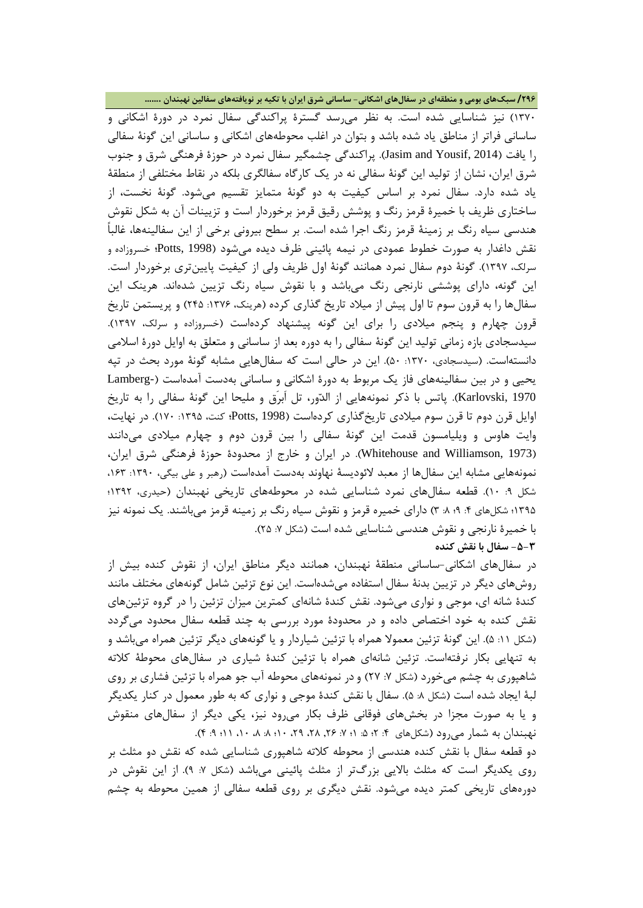**/296 سبکهاي بومی و منطقهاي در سفالهاي اشکانی- ساسانی شرق ایران با تکیه بر نویافتههاي سفالین نهبندان .......**

1370) نیز شناسایی شده است. به نظر میرسد گسترة پراکندگی سفال نمرد در دورة اشکانی و ساسانی فراتر از مناطق یاد شده باشد و بتوان در اغلب محوطههاي اشکانی و ساسانی این گونۀ سفالی را یافت (2014 ,Yousif and Jasim(. پراکندگی چشمگیر سفال نمرد در حوزة فرهنگی شرق و جنوب شرق ایران، نشان از تولید این گونۀ سفالی نه در یک کارگاه سفالگري بلکه در نقاط مختلفی از منطقۀ یاد شده دارد. سفال نمرد بر اساس کیفیت به دو گونۀ متمایز تقسیم میشود. گونۀ نخست، از ساختاري ظریف با خمیرة قرمز رنگ و پوشش رقیق قرمز برخوردار است و تزیینات آن به شکل نقوش هندسی سیاه رنگ بر زمینۀ قرمز رنگ اجرا شده است. بر سطح بیرونی برخی از این سفالینهها، غالباً نقش داغدار به صورت خطوط عمودي در نیمه پائینی ظرف دیده میشود (1998 ,Potts؛ خسروزاده و سرلک، 1397). گونۀ دوم سفال نمرد همانند گونۀ اول ظریف ولی از کیفیت پایینتري برخوردار است. این گونه، داراي پوششی نارنجی رنگ میباشد و با نقوش سیاه رنگ تزیین شدهاند. هرینک این سفالها را به قرون سوم تا اول پیش از میلاد تاریخ گذاري کرده (هرینک، :1376 245) و پریستمن تاریخ قرون چهارم و پنجم میلادي را براي این گونه پیشنهاد کردهاست (خسروزاده و سرلک، 1397). سیدسجادي بازه زمانی تولید این گونۀ سفالی را به دوره بعد از ساسانی و متعلق به اوایل دورة اسلامی دانستهاست. (سیدسجادي، :1370 50). این در حالی است که سفالهایی مشابه گونۀ مورد بحث در تپه یحیی و در بین سفالینههاي فاز یک مربوط به دورة اشکانی و ساسانی بهدست آمدهاست (-Lamberg 1970 ,Karlovski(. پاتس با ذکر نمونههایی از الدور، تل اَبرَق و ملیحا این گونۀ سفالی را به تاریخ اوایل قرن دوم تا قرن سوم میلادي تاریخگذاري کردهاست (1998 ,Potts؛ کنت، :1395 170). در نهایت، وایت هاوس و ویلیامسون قدمت این گونۀ سفالی را بین قرون دوم و چهارم میلادي میدانند (1973 ,Williamson and Whitehouse(. در ایران و خارج از محدودة حوزة فرهنگی شرق ایران، نمونههایی مشابه این سفالها از معبد لائودیسۀ نهاوند بهدست آمدهاست (رهبر و علی بیگی، :1390 ،163 شکل :9 10). قطعه سفالهاي نمرد شناسایی شده در محوطههاي تاریخی نهبندان (حیدري، 1392؛ ۱۳۹۵؛ شکلهای ۴: ۹؛ ۸: ۳) دارای خمیره قرمز و نقوش سیاه رنگ بر زمینه قرمز میباشند. یک نمونه نیز با خمیرة نارنجی و نقوش هندسی شناسایی شده است (شکل :7 25). **-5-3 سفال با نقش کنده**

در سفالهاي اشکانی-ساسانی منطقۀ نهبندان، همانند دیگر مناطق ایران، از نقوش کنده بیش از روشهاي دیگر در تزیین بدنۀ سفال استفاده میشدهاست. این نوع تزئین شامل گونههاي مختلف مانند کندة شانه اي، موجی و نواري میشود. نقش کندة شانهاي کمترین میزان تزئین را در گروه تزئینهاي نقش کنده به خود اختصاص داده و در محدودة مورد بررسی به چند قطعه سفال محدود میگردد (شکل ۱۱: ۵). این گونۀ تزئین معمولا همراه با تزئین شیاردار و یا گونههای دیگر تزئین همراه میباشد و به تنهایی بکار نرفتهاست. تزئین شانهاي همراه با تزئین کندة شیاري در سفالهاي محوطۀ کلاته شاهپوري به چشم ميخورد (شکل ۷: ۲۷) و در نمونههاي محوطه آب جو همراه با تزئين فشاري بر روي لبۀ ایجاد شده است (شکل ٨: ۵). سفال با نقش کندۀ موجی و نواری که به طور معمول در کنار یکدیگر و یا به صورت مجزا در بخشهاي فوقانی ظرف بکار میرود نیز، یکی دیگر از سفالهاي منقوش نهبندان به شمار میرود (شکلهای ۴: ۲؛ ۵: ۱؛ ۷: ۲۶, ۲۸، ۲۹، ۱۰، ۸، ۱۸، ۱۱؛ ۹: ۴).

دو قطعه سفال با نقش کنده هندسی از محوطه کلاته شاهپوري شناسایی شده که نقش دو مثلث بر روي یکدیگر است که مثلث بالایی بزرگتر از مثلث پائینی میباشد (شکل :7 9). از این نقوش در دورههاي تاریخی کمتر دیده میشود. نقش دیگري بر روي قطعه سفالی از همین محوطه به چشم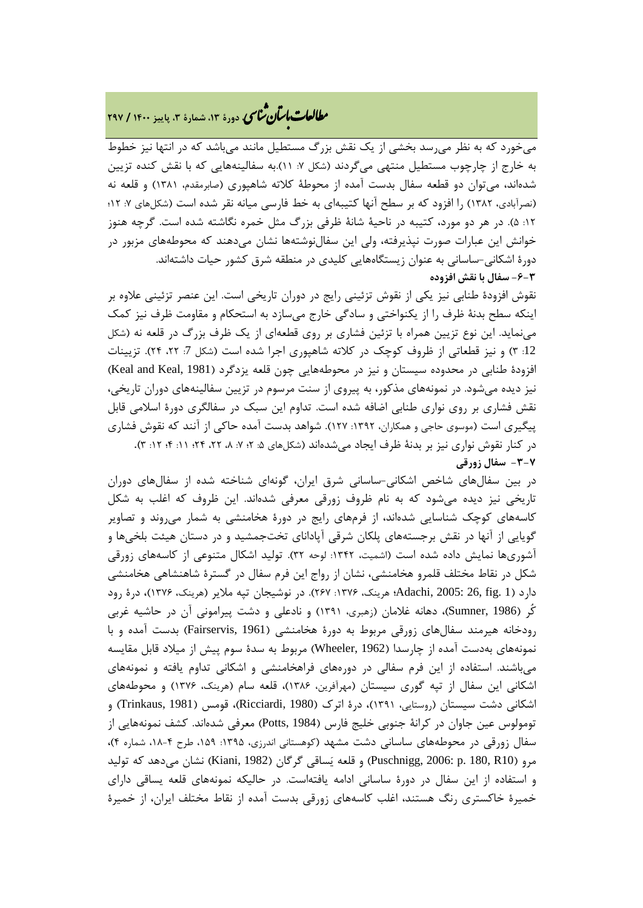# **، دورة ،13 شمارة ،3 پاییز <sup>1400</sup> / <sup>297</sup>** �نا� �طا با� تان ی �عات

میخورد که به نظر میرسد بخشی از یک نقش بزرگ مستطیل مانند میباشد که در انتها نیز خطوط به خارج از چارچوب مستطیل منتهی میگردند (شکل ۷: ۱۱).به سفالینههایی که با نقش کنده تزیین شدهاند، میتوان دو قطعه سفال بدست آمده از محوطۀ کلاته شاهپوري (صابرمقدم، 1381) و قلعه نه (نصرآبادي، ١٣٨٢) را افزود که بر سطح آنها کتيبهاي به خط فارسي ميانه نقر شده است (شکلهاي ٧: ١٢؛ :12 5). در هر دو مورد، کتیبه در ناحیۀ شانۀ ظرفی بزرگ مثل خمره نگاشته شده است. گرچه هنوز خوانش این عبارات صورت نپذیرفته، ولی این سفالنوشتهها نشان میدهند که محوطههاي مزبور در دورة اشکانی-ساسانی به عنوان زیستگاههایی کلیدي در منطقه شرق کشور حیات داشتهاند. **-6-3 سفال با نقش افزوده**

نقوش افزودة طنابی نیز یکی از نقوش تزئینی رایج در دوران تاریخی است. این عنصر تزئینی علاوه بر اینکه سطح بدنۀ ظرف را از یکنواختی و سادگی خارج میسازد به استحکام و مقاومت ظرف نیز کمک مینماید. این نوع تزیین همراه با تزئین فشاري بر روي قطعهاي از یک ظرف بزرگ در قلعه نه (شکل :12 3) و نیز قطعاتی از ظروف کوچک در کلاته شاهپوري اجرا شده است (شکل :7 ،22 24). تزیینات افزودة طنابی در محدوده سیستان و نیز در محوطههایی چون قلعه یزدگرد (1981 ,Keal and Keal ( نیز دیده میشود. در نمونههاي مذکور، به پیروي از سنت مرسوم در تزیین سفالینههاي دوران تاریخی، نقش فشاري بر روي نواري طنابی اضافه شده است. تداوم این سبک در سفالگري دورة اسلامی قابل پیگیري است (موسوي حاجی و همکاران، ١٣٩٢: ١٢٧). شواهد بدست آمده حاکی از آنند که نقوش فشاري در کنار نقوش نواري نیز بر بدنۀ ظرف ایجاد میشدهاند (شکلهاي :5 2؛ :7 ،8 ،22 24؛ :11 4؛ :12 3**). -3-7 سفال زورقی**

در بین سفالهاي شاخص اشکانی-ساسانی شرق ایران، گونهاي شناخته شده از سفالهاي دوران تاریخی نیز دیده میشود که به نام ظروف زورقی معرفی شدهاند. این ظروف که اغلب به شکل کاسههاي کوچک شناسایی شدهاند، از فرمهاي رایج در دورة هخامنشی به شمار میروند و تصاویر گویایی از آنها در نقش برجستههاي پلکان شرقی آپاداناي تختجمشید و در دستان هیئت بلخیها و آشوريها نمایش داده شده است (اشمیت، :1342 لوحه 32). تولید اشکال متنوعی از کاسههاي زورقی شکل در نقاط مختلف قلمرو هخامنشی، نشان از رواج این فرم سفال در گسترة شاهنشاهی هخامنشی دارد (1 .fig 26, 2005: ,Adachi؛ هرینک، :1376 267). در نوشیجان تپه ملایر (هرینک، 1376)، درة رود کُر (1986 ,Sumner(، دهانه غلامان (زهبري، 1391) و نادعلی و دشت پیرامونی آن در حاشیه غربی رودخانه هیرمند سفالهاي زورقی مربوط به دورة هخامنشی (1961 ,Fairservis (بدست آمده و با نمونههاي بهدست آمده از چارسدا (1962 ,Wheeler (مربوط به سدة سوم پیش از میلاد قابل مقایسه میباشند. استفاده از این فرم سفالی در دورههاي فراهخامنشی و اشکانی تداوم یافته و نمونههاي اشکانی این سفال از تپه گوري سیستان (مهرآفرین، 1386)، قلعه سام (هرینک، 1376) و محوطههاي اشکانی دشت سیستان (روستایی، 1391)، درة اترك (1980 ,Ricciardi(، قومس (1981 ,Trinkaus (و تومولوس عین جاوان در کرانۀ جنوبی خلیج فارس (1984 ,Potts (معرفی شدهاند. کشف نمونههایی از سفال زورقی در محوطههای ساسانی دشت مشهد (کوهستانی اندرزی، ۱۳۹۵: ۱۵۹، طرح ۴-۱۸، شماره ۴)، مرو (180, Puschnigg, 2006: p. 180, R10) و قلعه یَساقی گرگان (Kiani, 1982) نشان می،دهد که تولید و استفاده از این سفال در دورة ساسانی ادامه یافتهاست. در حالیکه نمونههاي قلعه یساقی داراي خمیرة خاکستري رنگ هستند، اغلب کاسههاي زورقی بدست آمده از نقاط مختلف ایران، از خمیرة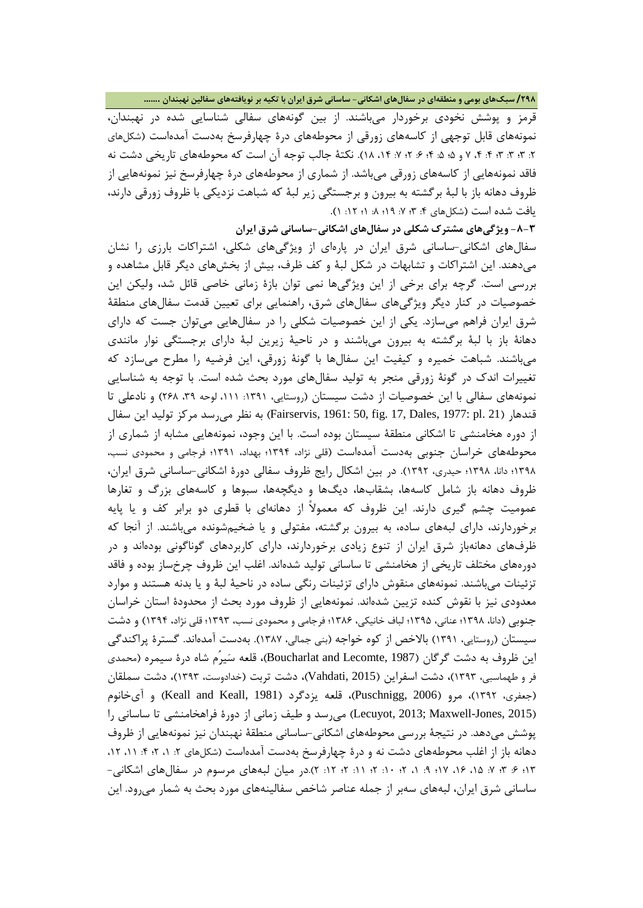**/298 سبکهاي بومی و منطقهاي در سفالهاي اشکانی- ساسانی شرق ایران با تکیه بر نویافتههاي سفالین نهبندان .......**

قرمز و پوشش نخودي برخوردار میباشند. از بین گونههاي سفالی شناسایی شده در نهبندان، نمونههاي قابل توجهی از کاسههاي زورقی از محوطههاي درة چهارفرسخ بهدست آمدهاست (شکلهاي :2 3؛ :3 3؛ :4 ،4 7 و 5؛ :5 4؛ :6 2؛ :7 ،14 18). نکتۀ جالب توجه آن است که محوطههاي تاریخی دشت نه فاقد نمونههایی از کاسههاي زورقی میباشد. از شماري از محوطههاي درة چهارفرسخ نیز نمونههایی از ظروف دهانه باز با لبۀ برگشته به بیرون و برجستگی زیر لبۀ که شباهت نزدیکی با ظروف زورقی دارند، یافت شده است (شکلهای ۴: ۳: ۷: ۹؛ ۸: ۱؛ ۱۲: ۱).

**-8-3 ویژگیهاي مشترك شکلی در سفالهاي اشکانی-ساسانی شرق ایران** سفالهاي اشکانی-ساسانی شرق ایران در پارهاي از ویژگیهاي شکلی، اشتراکات بارزي را نشان میدهند. این اشتراکات و تشابهات در شکل لبۀ و کف ظرف، بیش از بخشهاي دیگر قابل مشاهده و بررسی است. گرچه براي برخی از این ویژگیها نمی توان بازة زمانی خاصی قائل شد، ولیکن این خصوصیات در کنار دیگر ویژگیهاي سفالهاي شرق، راهنمایی براي تعیین قدمت سفالهاي منطقۀ شرق ایران فراهم میسازد. یکی از این خصوصیات شکلی را در سفالهایی میتوان جست که داراي دهانۀ باز با لبۀ برگشته به بیرون میباشند و در ناحیۀ زیرین لبۀ داراي برجستگی نوار مانندي میباشند. شباهت خمیره و کیفیت این سفالها با گونۀ زورقی، این فرضیه را مطرح میسازد که تغییرات اندك در گونۀ زورقی منجر به تولید سفالهاي مورد بحث شده است. با توجه به شناسایی نمونههای سفالی با این خصوصیات از دشت سیستان (روستایی، ۱۳۹۱: ۱۱۱، لوحه ۳۹، ۲۶۸) و نادعلی تا قندهار (21 .pl 1977; pl 1981: 50, fig. 17, Dales, 1977: pl به نظر می رسد مرکز تولید این سفال از دوره هخامنشی تا اشکانی منطقۀ سیستان بوده است. با این وجود، نمونههایی مشابه از شماري از محوطههاي خراسان جنوبی بهدست آمدهاست (قلی نژاد، 1394؛ بهداد، 1391؛ فرجامی و محمودي نسب، 1398؛ دانا، 1398؛ حیدري، 1392). در بین اشکال رایج ظروف سفالی دورة اشکانی-ساسانی شرق ایران، ظروف دهانه باز شامل کاسهها، بشقابها، دیگها و دیگچهها، سبوها و کاسههاي بزرگ و تغارها عمومیت چشم گیري دارند. این ظروف که معمولاً از دهانهاي با قطري دو برابر کف و یا پایه برخوردارند، داراي لبههاي ساده، به بیرون برگشته، مفتولی و یا ضخیمشونده میباشند. از آنجا که ظرفهاي دهانهباز شرق ایران از تنوع زیادي برخوردارند، داراي کاربردهاي گوناگونی بودهاند و در دورههاي مختلف تاریخی از هخامنشی تا ساسانی تولید شدهاند. اغلب این ظروف چرخساز بوده و فاقد تزئینات میباشند. نمونههاي منقوش داراي تزئینات رنگی ساده در ناحیۀ لبۀ و یا بدنه هستند و موارد معدودي نیز با نقوش کنده تزیین شدهاند. نمونههایی از ظروف مورد بحث از محدودة استان خراسان جنوبی (دانا، 1398؛ عنانی، 1395؛ لباف خانیکی، 1386؛ فرجامی و محمودي نسب، 1393؛ قلی نژاد، 1394) و دشت سیستان (روستایی، 1391) بالاخص از کوه خواجه (بنی جمالی، 1387). بهدست آمدهاند. گسترة پراکندگی این ظروف به دشت گرگان (1987 ,Lecomte and Boucharlat(، قلعه سیرُم شاه درة سیمره (محمدي فر و طهماسبی، 1393)، دشت اسفراین (2015 ,Vahdati(، دشت تربت (خدادوست، 1393)، دشت سملقان (جعفري، ١٣٩٢)، مرو (2006 ,Puschnigg)، قلعه یزدگرد (Keall and Keall, 1981) و آيخانوم (Lecuyot, 2013; Maxwell-Jones, 2015) می رسد و طیف زمانی از دورهٔ فراهخامنشی تا ساسانی را پوشش میدهد. در نتیجۀ بررسی محوطههاي اشکانی-ساسانی منطقۀ نهبندان نیز نمونههایی از ظروف دهانه باز از اغلب محوطههاي دشت نه و درهٔ چهارفرسخ بهدست آمدهاست (شکلهاي ۲: ۱، ۲؛ ۱۶، ۱۲، ۱۲، 13؛ :6 3؛ :7 ،15 ،16 17؛ :9 ،1 2؛ :10 2؛ :11 2؛ :12 2).در میان لبههاي مرسوم در سفالهاي اشکانی- ساسانی شرق ایران، لبههاي سهبر از جمله عناصر شاخص سفالینههاي مورد بحث به شمار میرود. این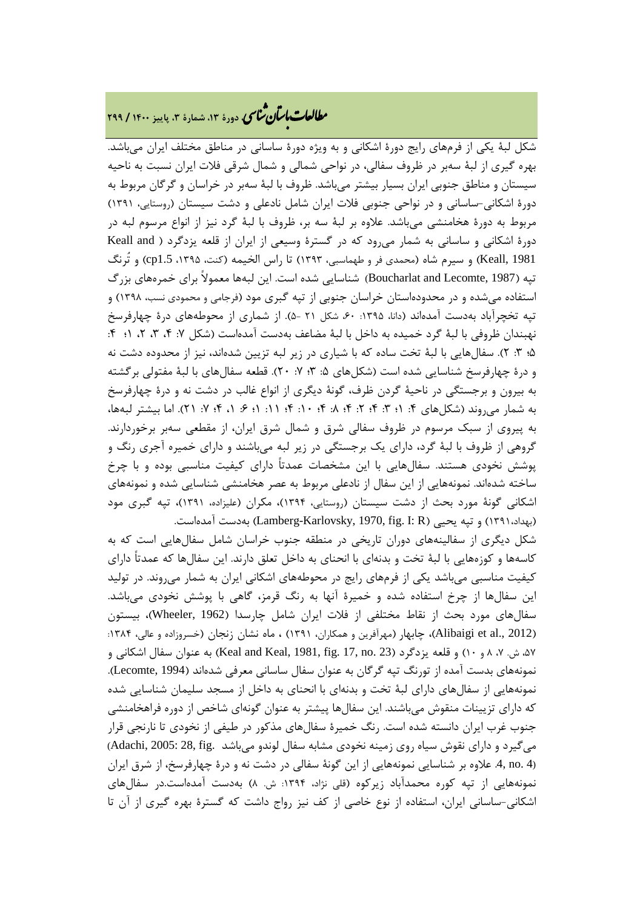### **، دورة ،13 شمارة ،3 پاییز <sup>1400</sup> / <sup>299</sup>** �نا� �طا با� تان ی �عات

شکل لبۀ یکی از فرمهاي رایج دورة اشکانی و به ویژه دورة ساسانی در مناطق مختلف ایران میباشد. بهره گیري از لبۀ سهبر در ظروف سفالی، در نواحی شمالی و شمال شرقی فلات ایران نسبت به ناحیه سیستان و مناطق جنوبی ایران بسیار بیشتر میباشد. ظروف با لبۀ سهبر در خراسان و گرگان مربوط به دورة اشکانی-ساسانی و در نواحی جنوبی فلات ایران شامل نادعلی و دشت سیستان (روستایی، 1391) مربوط به دورة هخامنشی میباشد. علاوه بر لبۀ سه بر، ظروف با لبۀ گرد نیز از انواع مرسوم لبه در دورة اشکانی و ساسانی به شمار میرود که در گسترة وسیعی از ایران از قلعه یزدگرد ( and Keall 1981 ,Keall (و سیرم شاه (محمدي فر و طهماسبی، 1393) تا راس الخیمه (کنت، ،1395 1.5cp (و تُرنگ تپه (1987 ,Boucharlat and Lecomte) شناسایی شده است. این لبهها معمولاً برای خمرههای بزرگ استفاده میشده و در محدودهاستان خراسان جنوبی از تپه گبري مود (فرجامی و محمودي نسب، 1398) و تپه تخچرآباد بهدست آمدهاند (دانا، ۱۳۹۵: ۶۰، شکل ۲۱ -۵). از شماري از محوطههاي درهٔ چهارفرسخ نهبندان ظروفی با لبۀ گرد خمیده به داخل با لبۀ مضاعف بهدست آمدهاست (شکل ۷: ۴، ۳، ۲، ۱؛ ۴: 5؛ :3 2). سفالهایی با لبۀ تخت ساده که با شیاري در زیر لبه تزیین شدهاند، نیز از محدوده دشت نه و درهٔ چهارفرسخ شناسایی شده است (شکلهای ۵: ۳، ۷: ۲۰). قطعه سفالهای با لبۀ مفتولی برگشته به بیرون و برجستگی در ناحیۀ گردن ظرف، گونۀ دیگري از انواع غالب در دشت نه و درة چهارفرسخ به شمار می روند (شکل های ۴: ۱؛ ۳: ۴: ۲؛ ۴: ۸: ۴: ۱۰؛ ۴: ۱؛ ۶: ۱، ۴: ۷: ۲۱). اما بیشتر لبهها، به پیروي از سبک مرسوم در ظروف سفالی شرق و شمال شرق ایران، از مقطعی سهبر برخوردارند. گروهی از ظروف با لبۀ گرد، داراي یک برجستگی در زیر لبه میباشند و داراي خمیره آجري رنگ و پوشش نخودي هستند. سفالهایی با این مشخصات عمدتاً داراي کیفیت مناسبی بوده و با چرخ ساخته شدهاند. نمونههایی از این سفال از نادعلی مربوط به عصر هخامنشی شناسایی شده و نمونههاي اشکانی گونۀ مورد بحث از دشت سیستان (روستایی، 1394)، مکران (علیزاده، 1391)، تپه گبري مود (بهداد،١٣٩١) و تپه یحیی (Lamberg-Karlovsky, 1970, fig. I: R) بهدست آمدهاست.

شکل دیگري از سفالینههاي دوران تاریخی در منطقه جنوب خراسان شامل سفالهایی است که به کاسهها و کوزههایی با لبۀ تخت و بدنهاي با انحناي به داخل تعلق دارند. این سفالها که عمدتاً داراي کیفیت مناسبی میباشد یکی از فرمهاي رایج در محوطههاي اشکانی ایران به شمار میروند. در تولید این سفالها از چرخ استفاده شده و خمیرة آنها به رنگ قرمز، گاهی با پوشش نخودي میباشد. سفالهاي مورد بحث از نقاط مختلفی از فلات ایران شامل چارسدا (1962 ,Wheeler(، بیستون (Alibaigi et al., 2012)، چابهار (مهرآفرین و همکاران، ۱۳۹۱) ، ماه نشان زنجان (خسروزاده و عالی، ۱۳۸۴: ۵۲، ش. ۷، ۸ و ۱۰) و قلعه یزدگرد (23 .Keal and Keal, 1981, fig. 17, no به عنوان سفال اشکانی و نمونههاي بدست آمده از تورنگ تپه گرگان به عنوان سفال ساسانی معرفی شدهاند (1994 ,Lecomte(. نمونههایی از سفالهاي داراي لبۀ تخت و بدنهاي با انحناي به داخل از مسجد سلیمان شناسایی شده که داراي تزیینات منقوش میباشند. این سفالها پیشتر به عنوان گونهاي شاخص از دوره فراهخامنشی جنوب غرب ایران دانسته شده است. رنگ خمیرة سفالهاي مذکور در طیفی از نخودي تا نارنجی قرار میگیرد و داراي نقوش سیاه روي زمینه نخودي مشابه سفال لوندو میباشد .fig 28, 2005: ,Adachi( (4 .no .4, علاوه بر شناسایی نمونههایی از این گونۀ سفالی در دشت نه و درة چهارفرسخ، از شرق ایران نمونههایی از تپه کوره محمدآباد زیرکوه (قلی نژاد، :1394 ش. 8) بهدست آمدهاست.در سفالهاي اشکانی-ساسانی ایران، استفاده از نوع خاصی از کف نیز رواج داشت که گسترة بهره گیري از آن تا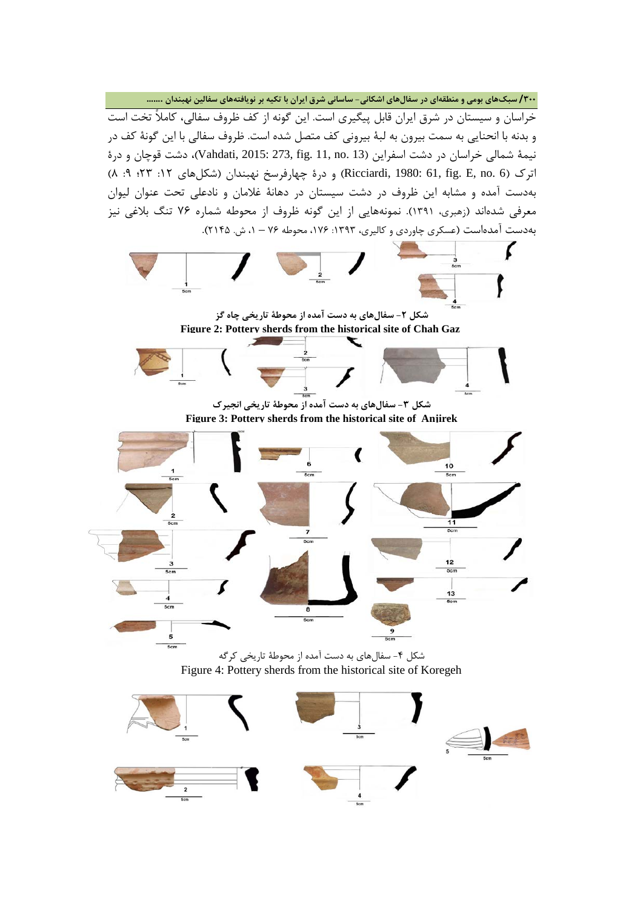**/300 سبکهاي بومی و منطقهاي در سفالهاي اشکانی- ساسانی شرق ایران با تکیه بر نویافتههاي سفالین نهبندان .......** خراسان و سیستان در شرق ایران قابل پیگیري است. این گونه از کف ظروف سفالی، کاملاً تخت است و بدنه با انحنایی به سمت بیرون به لبۀ بیرونی کف متصل شده است. ظروف سفالی با این گونۀ کف در نیمۀ شمالی خراسان در دشت اسفراین (13 .no 11, .fig 273, 2015: ,Vahdati(، دشت قوچان و درة اترک (6 .Ricciardi, 1980: 61, fig. E, no . 6) و درهٔ چهارفرسخ نهبندان (شکلهای ۱۲: ۴۳؛ ۹: ۸) بهدست آمده و مشابه این ظروف در دشت سیستان در دهانۀ غلامان و نادعلی تحت عنوان لیوان معرفی شدهاند (زهبري، 1391). نمونههایی از این گونه ظروف از محوطه شماره 76 تنگ بلاغی نیز بهدست آمدهاست (عسکري چاوردي و کالیري، :1393 ،176 محوطه 76 – ،1 ش. 2145).



**Figure 3: Pottery sherds from the historical site of Anjirek**



شکل -4 سفالهاي به دست آمده از محوطۀ تاریخی کرگه Figure 4: Pottery sherds from the historical site of Koregeh

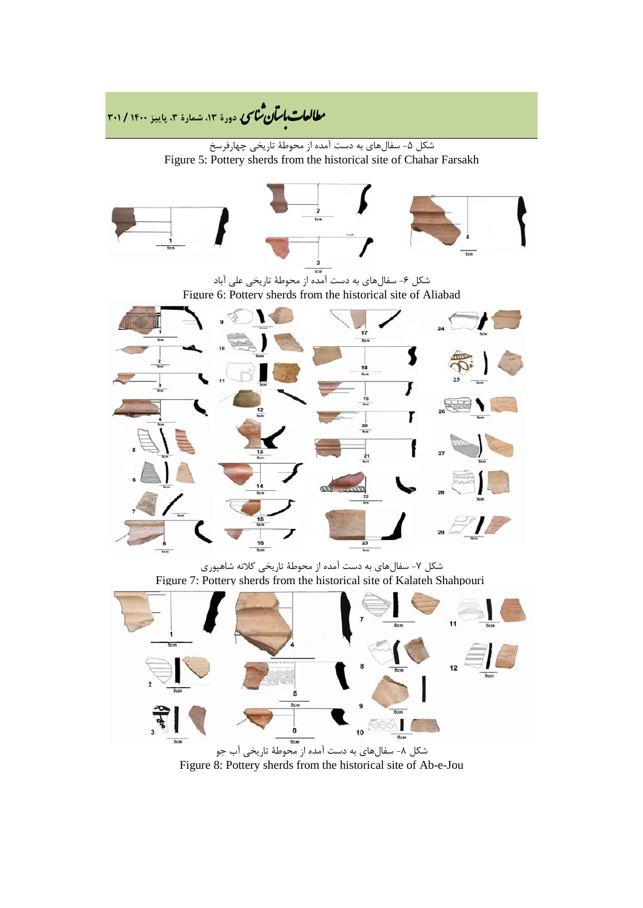

Figure 8: Pottery sherds from the historical site of Ab-e-Jou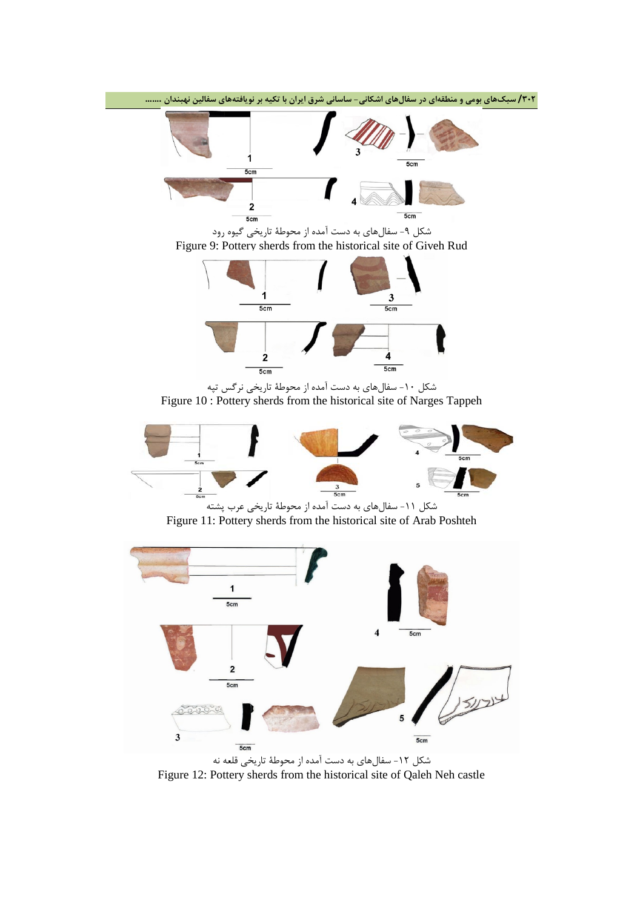

شکل -12 سفالهاي به دست آمده از محوطۀ تاریخی قلعه نه Figure 12: Pottery sherds from the historical site of Qaleh Neh castle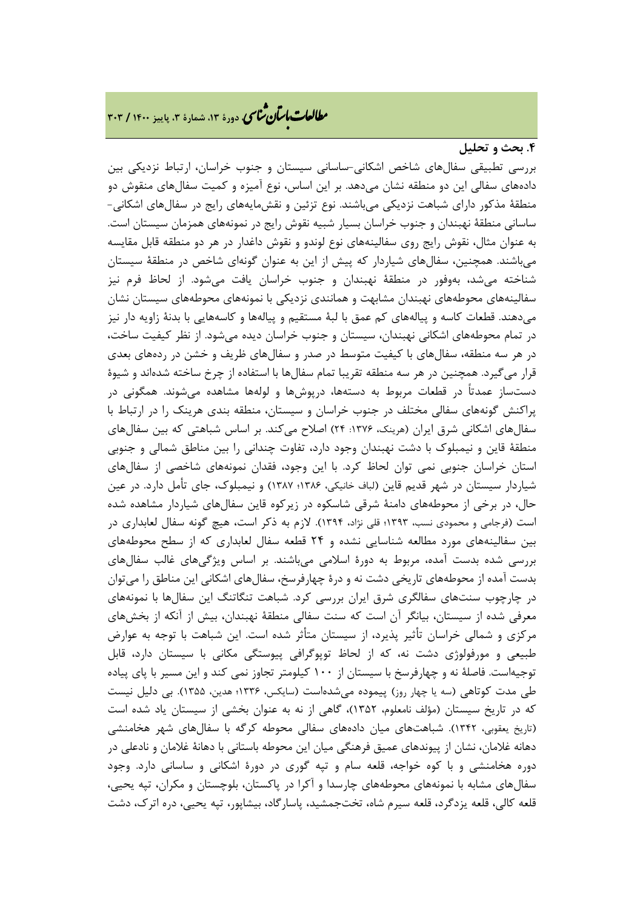#### **.4 بحث و تحلیل**

بررسی تطبیقی سفالهاي شاخص اشکانی-ساسانی سیستان و جنوب خراسان، ارتباط نزدیکی بین دادههاي سفالی این دو منطقه نشان میدهد. بر این اساس، نوع آمیزه و کمیت سفالهاي منقوش دو منطقۀ مذکور داراي شباهت نزدیکی میباشند. نوع تزئین و نقشمایههاي رایج در سفالهاي اشکانی- ساسانی منطقۀ نهبندان و جنوب خراسان بسیار شبیه نقوش رایج در نمونههاي همزمان سیستان است. به عنوان مثال، نقوش رایج روي سفالینههاي نوع لوندو و نقوش داغدار در هر دو منطقه قابل مقایسه میباشند. همچنین، سفالهاي شیاردار که پیش از این به عنوان گونهاي شاخص در منطقۀ سیستان شناخته میشد، بهوفور در منطقۀ نهبندان و جنوب خراسان یافت میشود. از لحاظ فرم نیز سفالینههاي محوطههاي نهبندان مشابهت و همانندي نزدیکی با نمونههاي محوطههاي سیستان نشان میدهند. قطعات کاسه و پیالههاي کم عمق با لبۀ مستقیم و پیالهها و کاسههایی با بدنۀ زاویه دار نیز در تمام محوطههاي اشکانی نهبندان، سیستان و جنوب خراسان دیده میشود. از نظر کیفیت ساخت، در هر سه منطقه، سفالهاي با کیفیت متوسط در صدر و سفالهاي ظریف و خشن در ردههاي بعدي قرار میگیرد. همچنین در هر سه منطقه تقریبا تمام سفالها با استفاده از چرخ ساخته شدهاند و شیوة دستساز عمدتاً در قطعات مربوط به دستهها، درپوشها و لولهها مشاهده میشوند. همگونی در پراکنش گونههاي سفالی مختلف در جنوب خراسان و سیستان، منطقه بندي هرینک را در ارتباط با سفالهای اشکانی شرق ایران (هرینک، ۱۳۷۶: ۲۴) اصلاح میکند. بر اساس شباهتی که بین سفالهای منطقۀ قاین و نیمبلوك با دشت نهبندان وجود دارد، تفاوت چندانی را بین مناطق شمالی و جنوبی استان خراسان جنوبی نمی توان لحاظ کرد. با این وجود، فقدان نمونههاي شاخصی از سفالهاي شیاردار سیستان در شهر قدیم قاین (لباف خانیکی، 1386؛ 1387) و نیمبلوك، جاي تأمل دارد. در عین حال، در برخی از محوطههاي دامنۀ شرقی شاسکوه در زیرکوه قاین سفالهاي شیاردار مشاهده شده است (فرجامی و محمودي نسب، 1393؛ قلی نژاد، 1394). لازم به ذکر است، هیچ گونه سفال لعابداري در بین سفالینههاي مورد مطالعه شناسایی نشده و 24 قطعه سفال لعابداري که از سطح محوطههاي بررسی شده بدست آمده، مربوط به دورة اسلامی میباشند. بر اساس ویژگیهاي غالب سفالهاي بدست آمده از محوطههاي تاریخی دشت نه و درة چهارفرسخ، سفالهاي اشکانی این مناطق را میتوان در چارچوب سنتهاي سفالگري شرق ایران بررسی کرد. شباهت تنگاتنگ این سفالها با نمونههاي معرفی شده از سیستان، بیانگر آن است که سنت سفالی منطقۀ نهبندان، بیش از آنکه از بخشهاي مرکزي و شمالی خراسان تأثیر پذیرد، از سیستان متأثر شده است. این شباهت با توجه به عوارض طبیعی و مورفولوژي دشت نه، که از لحاظ توپوگرافی پیوستگی مکانی با سیستان دارد، قابل توجیهاست. فاصلۀ نه و چهارفرسخ با سیستان از 100 کیلومتر تجاوز نمی کند و این مسیر با پاي پیاده طی مدت کوتاهی (سه یا چهار روز) پیموده میشدهاست (سایکس، 1336؛ هدین، 1355). بی دلیل نیست که در تاریخ سیستان (مؤلف نامعلوم، 1352)، گاهی از نه به عنوان بخشی از سیستان یاد شده است (تاریخ یعقوبی، 1342). شباهتهاي میان دادههاي سفالی محوطه کرگه با سفالهاي شهر هخامنشی دهانه غلامان، نشان از پیوندهاي عمیق فرهنگی میان این محوطه باستانی با دهانۀ غلامان و نادعلی در دوره هخامنشی و با کوه خواجه، قلعه سام و تپه گوري در دورة اشکانی و ساسانی دارد. وجود سفالهاي مشابه با نمونههاي محوطههاي چارسدا و آکرا در پاکستان، بلوچستان و مکران، تپه یحیی، قلعه کالی، قلعه یزدگرد، قلعه سیرم شاه، تختجمشید، پاسارگاد، بیشاپور، تپه یحیی، دره اترك، دشت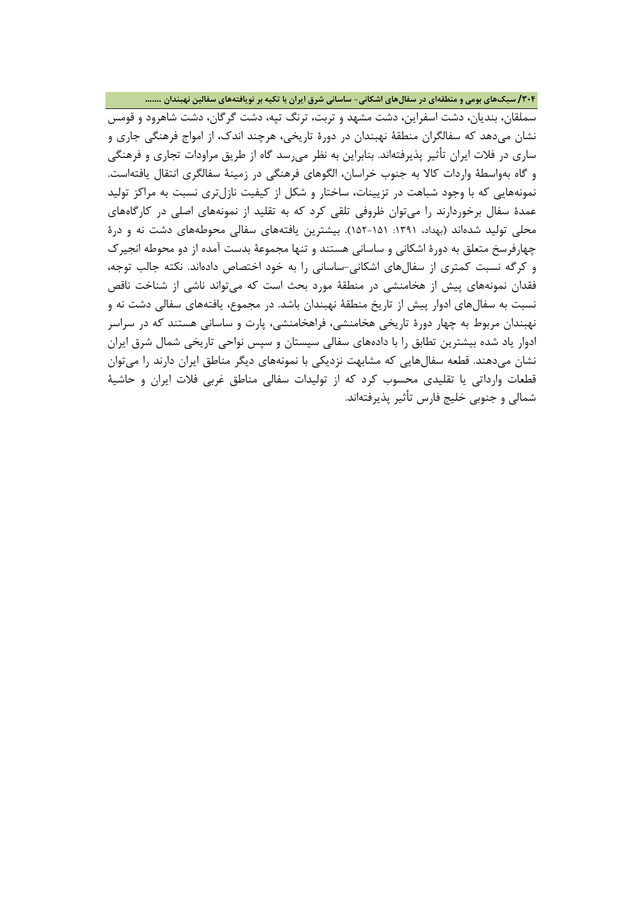**/304 سبکهاي بومی و منطقهاي در سفالهاي اشکانی- ساسانی شرق ایران با تکیه بر نویافتههاي سفالین نهبندان .......**

سملقان، بندیان، دشت اسفراین، دشت مشهد و تربت، ترنگ تپه، دشت گرگان، دشت شاهرود و قومس نشان میدهد که سفالگران منطقۀ نهبندان در دورة تاریخی، هرچند اندك، از امواج فرهنگی جاري و ساري در فلات ایران تأثیر پذیرفتهاند. بنابراین به نظر میرسد گاه از طریق مراودات تجاري و فرهنگی و گاه بهواسطۀ واردات کالا به جنوب خراسان، الگوهاي فرهنگی در زمینۀ سفالگري انتقال یافتهاست. نمونههایی که با وجود شباهت در تزیینات، ساختار و شکل از کیفیت نازلتري نسبت به مراکز تولید عمدة سفال برخوردارند را میتوان ظروفی تلقی کرد که به تقلید از نمونههاي اصلی در کارگاههاي محلی تولید شدهاند (بهداد، :1391 152-151). بیشترین یافتههاي سفالی محوطههاي دشت نه و درة چهارفرسخ متعلق به دورة اشکانی و ساسانی هستند و تنها مجموعۀ بدست آمده از دو محوطه انجیرك و کرگه نسبت کمتري از سفالهاي اشکانی-ساسانی را به خود اختصاص دادهاند. نکته جالب توجه، فقدان نمونههاي پیش از هخامنشی در منطقۀ مورد بحث است که میتواند ناشی از شناخت ناقص نسبت به سفالهاي ادوار پیش از تاریخ منطقۀ نهبندان باشد. در مجموع، یافتههاي سفالی دشت نه و نهبندان مربوط به چهار دورة تاریخی هخامنشی، فراهخامنشی، پارت و ساسانی هستند که در سراسر ادوار یاد شده بیشترین تطابق را با دادههاي سفالی سیستان و سپس نواحی تاریخی شمال شرق ایران نشان میدهند. قطعه سفالهایی که مشابهت نزدیکی با نمونههاي دیگر مناطق ایران دارند را میتوان قطعات وارداتی یا تقلیدي محسوب کرد که از تولیدات سفالی مناطق غربی فلات ایران و حاشیۀ شمالی و جنوبی خلیج فارس تأثیر پذیرفتهاند.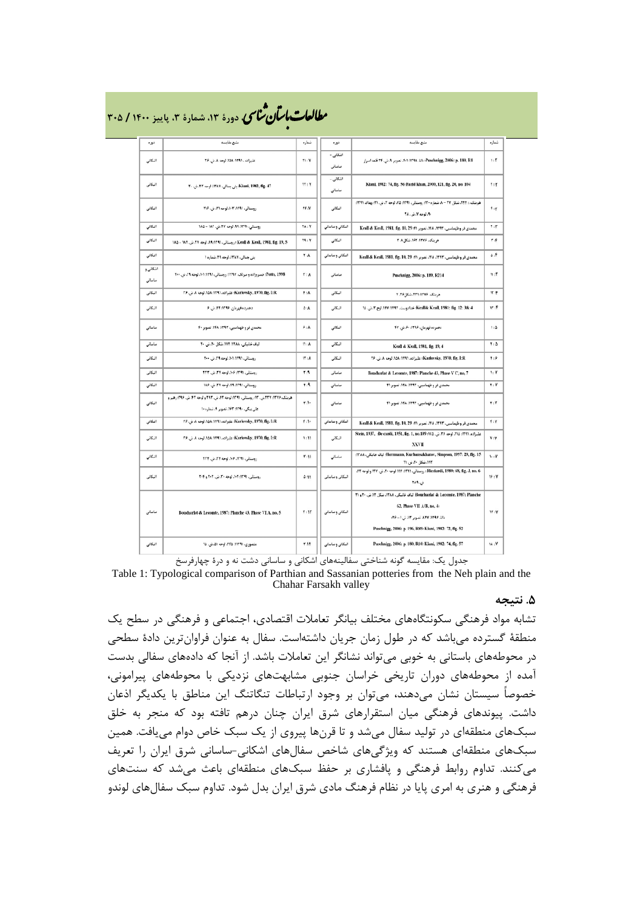| توره               | منبع مقابسه                                                                                                             | شعاره                    | توره                | منبع مقايسه                                                                                                                                                                                             | شعار ه                   |
|--------------------|-------------------------------------------------------------------------------------------------------------------------|--------------------------|---------------------|---------------------------------------------------------------------------------------------------------------------------------------------------------------------------------------------------------|--------------------------|
| اشكائی             | عليزاده ، ١٣٩١: ١٥٨، لوحه ٨. ش. ٢۶                                                                                      | T1:Y                     | انىكانى -<br>ساساتى | Puschnigg, 2006: p. 180, R1: ١٢٩٨، تصوير ٨. ش. ٢۴ فلعه اسرار                                                                                                                                            | 1:Y                      |
| اشكاني             | Kiani, 1982, fig. 47، بنى جمالى. ٢٨٧. لوحه ٢٢. ش. ٢٠                                                                    | TT: Y                    | اشكاني -<br>ساساتی  | Kiani, 1982: 74, fig. 56 Farid khan, 2000, 121, fig. 20, no. 104                                                                                                                                        | $\mathbf{r}:\mathbf{r}$  |
| اشكانى             | روستانی، ۱۳۹۱: ۰۴ ارده ۳۱، ش. ۲۱۶                                                                                       | Yf N                     | اشكانى              | هرينگ، : ٢٤٢. شكل ٢٧ - ٨. شماره ١٢٠: روستائي، ١٢٩١: ٧٥. لوحه ٣. ش. ٢١: يهداد. ١٣٩١.<br><b>۰۹۰ لوحه لا. ش. ۲۸</b> ۰                                                                                      | f:Y                      |
| انكائی             | روستاني، ٨٢٩: ٨٩. لوحه ٢٧. ش. ١٨٢ - ١٨٥                                                                                 | TA: Y                    | انتكاتی و ساساتی    | محمدی فر وطهماسی، ۱۳۹۳، ۱۴۸، تصویر ۱۹٫ 29 Krall & Keall, 1981, fig. 10, 29                                                                                                                              | $\mathbf{r}$             |
| اشكاني             | 5 :Keall & Keall, 1981, fig. 19, الوحه ٢٧. ش. ١٨٢ - ١٨٥                                                                 | T1:V                     | اشكانى              | هرينك، ١٣٧۶: ١٤٢، شكل ٨. ٢                                                                                                                                                                              | ۴.۴                      |
| اشكاني             | <b>بنی جمالی، ۱۳۸۷، لوحه ۲۹، شماره ۱</b>                                                                                | $\mathbf{A}: \mathbf{A}$ | اشکانی و ساسانی     | محمدی فر و طهماسیں، ۱۲۹۲، ۱۴۸، تصویر ۴۱، 29 Keall & Keall, 1981, fig. 10, 29                                                                                                                            | ۵:۴                      |
| اشکاتی و<br>ساساتى | Potts, 1998: خسروزاده و سرلک، ۱۳۹۷: روستائی، ۱۰۱٬۱۳۹۱، لوحه ۲۰، ش. ۲۰۰                                                  | T : A                    | ساساتى              | Puschnigg, 2006: p. 189, R214                                                                                                                                                                           | W: F                     |
| اشكاني             | Karlovsky, 1970, fig. I:R: عليزاده. 1741، 104. لوحه لد ني. ۲۶                                                           | F : A                    | انكائى              | هربنگ، ۲۲۴، ۲۳۱، شکل ۳.۳۶                                                                                                                                                                               | 计序                       |
| انكائى             | دهمرده فهرمان، ۱۳۹۶: ۶۲، تي. ۶                                                                                          | $\Delta : A$             | انكائى              | 4 Keall& Keall, 1981: fig. 12: 3& 4 خدادوست. ١٢٩٣: ١٣٧: لوح ٢.ني. ١٥                                                                                                                                    | ۴: ۱۳                    |
| ساساتی             | محمدی فر و طهماسیی، ۱۳۹۳. ۱۴۸. تصویر ۴۰                                                                                 | 9:1                      | انتكاتى             | دهمرده فهرمان، ۱۳۹۶: ۶۰ ش. ۴۷                                                                                                                                                                           | 1:4                      |
| ساساتى             | لياف خاتيكي، ١٣٨٨، ١٧٢، شكل ٦٠، ش. ٢٠                                                                                   | N : A                    | اشكانى              | Keall & Keall, 1981, fig. 19, 4                                                                                                                                                                         | $\mathbf{r}:\Delta$      |
| انكائى             | روستانی، ۱۳۹۱، ۱۰۹، لوحه ۲۹، ش. ۲۰۰                                                                                     | M : A                    | انكائى              | ER (1970, fig. I:R ؛ عليزاده، ١٣٩١؛ ١٥٨، لوحه ٨. ش. ٢۶                                                                                                                                                  | 1:9                      |
| اشكانى             | روستانی، ۱۳۹۱، ۱۰۶، لوحه ۲۴، ش. ۱۳۳                                                                                     | ۲A                       | ساساتى              | Boucharlat & Lecomte, 1987: Planche 43, Phase V C, no, 7                                                                                                                                                | V: V                     |
| اشكانى             | روستانی، ۸۹ : ۸۹ لوحه ۲۷، ش. ۱۸۶                                                                                        | f:9                      | صاصاتی              | محمدی فر و ظهماسین، ۱۳۹۳، ۱۴۸، تصویر ۴۱                                                                                                                                                                 | T: Y                     |
| اشكانى             | هريتك، ٢٧٧. ٢٢٧.ش. ١٢، روستاني، ٦٢٩١: لوحه ٤٢، ش. ٢٩٢ ولوحه ٤٢، ش. ٢٩٥: رهير و<br>علی بیگی، ۱۳۹۰ - ۱۶۳ تصویر ۸ شماره ۱۰ | r de                     | ساساتی              | محمدی فر و طهماسیی. ۱۳۹۳، ۱۶۸، تصویر ۴۱                                                                                                                                                                 | T:Y                      |
| اشكانى             | Karlovsky, 1970, fig. 1: R: عليزاده، ١٣٩١، ١٥٨، لوحه ٨، ش. ٢۶                                                           | f:1                      | اشكانی و ساسانی     | محمدی فر و طهماسیں. ۱۳۹۳، ۱۴۸، تصویر ۴۱، 10,29 Krall & Keall, 1981, fig. 10, 29                                                                                                                         | f:Y                      |
| اشكانى             | Karlovsky, 1970, fig. I:R: عليزاده. 1741: ١٥٨. لوحه الدش. ٢۶                                                            | 1:11                     | انتكائی             | علبزاده. ١٣٩١. ١٦٥. لوحه ٢۶. ش. ١٧٥. (١١٥) Stein, 1937, de cardi, 1951, fig. 1, no. 109<br>XXVII                                                                                                        | V:V                      |
| اشكانى             | روستائی، ۱۳۹۱، ۱۰۶، لوحه ۲۴، ش. ۲۳۴                                                                                     | Y:11                     | ساساتی              | :15 Herrmann, Kurbansakhatov, Simpson, 1997: 29, fig. 15 لباف خانيكي، 17٨٨.<br>۱۷۳، شکل ۲۰، ش. ۳۱                                                                                                       | $\mathsf{V}: \mathsf{V}$ |
| اشكاني             | روستانی، ۱۳۹۱: ۱۰۲، لوحه ۲۰۲، تی. ۲۰۲ و ۲۰۴                                                                             | 4:11                     | اشكاني و ساساني     | 68, fig, J, no. 6 : روسنائی، 1791 MF : روسنائی، 1791؛ 174، ش. ١٣٧ ولوحه ٢٢.<br>نۍ ۲۸۹                                                                                                                   | 16 : V                   |
| ساساتى             | Boucharlat & Lecomte, 1987: Planche 43, Please VI A, no, 5                                                              | $Y - 1Y$                 | انتكانى و ساسانى    | Boucharlat & Lecomte, 1987: Planche لباف فاتبكي، ١٣٨٨، شكل ١٢، ش. ٢٠ و ٢١<br>62, Phase VII A/B, no, 4:<br>دانا، ۸۲۹۷، ۸۲۷، تصویر ۸۳، ش ۱- ۳۶:<br>Puschnigg, 2006: p. 196, R89: Kiani, 1982: 72, fig. 52 | IV IV                    |
| اشكاني             | متصوری، ۲۴۵٬۱۱۳۹۱، لوحه ۵۱، ش. ۱۵                                                                                       | ۳A٢                      | انتكاتى و ساساتى    | Puschnigg, 2006: p. 180, R10: Kiani, 1982: 74, fig. 57                                                                                                                                                  | 1A : Y                   |

### **، دورة ،13 شمارة ،3 پاییز <sup>1400</sup> / <sup>305</sup>** �نا� �طا با� تان ی �عات

جدول یک: مقایسه گونه شناختی سفالینههاي اشکانی و ساسانی دشت نه و درة چهارفرسخ

Table 1: Typological comparison of Parthian and Sassanian potteries from the Neh plain and the Chahar Farsakh valley

#### **.5 نتیجه**

تشابه مواد فرهنگی سکونتگاههاي مختلف بیانگر تعاملات اقتصادي، اجتماعی و فرهنگی در سطح یک منطقۀ گسترده میباشد که در طول زمان جریان داشتهاست. سفال به عنوان فراوانترین دادة سطحی در محوطههاي باستانی به خوبی میتواند نشانگر این تعاملات باشد. از آنجا که دادههاي سفالی بدست آمده از محوطههاي دوران تاریخی خراسان جنوبی مشابهتهاي نزدیکی با محوطههاي پیرامونی، خصوصاً سیستان نشان میدهند، میتوان بر وجود ارتباطات تنگاتنگ این مناطق با یکدیگر اذعان داشت. پیوندهاي فرهنگی میان استقرارهاي شرق ایران چنان درهم تافته بود که منجر به خلق سبکهاي منطقهاي در تولید سفال میشد و تا قرنها پیروي از یک سبک خاص دوام مییافت. همین سبکهاي منطقهاي هستند که ویژگیهاي شاخص سفالهاي اشکانی-ساسانی شرق ایران را تعریف میکنند. تداوم روابط فرهنگی و پافشاري بر حفظ سبکهاي منطقهاي باعث میشد که سنتهاي فرهنگی و هنري به امري پایا در نظام فرهنگ مادي شرق ایران بدل شود. تداوم سبک سفالهاي لوندو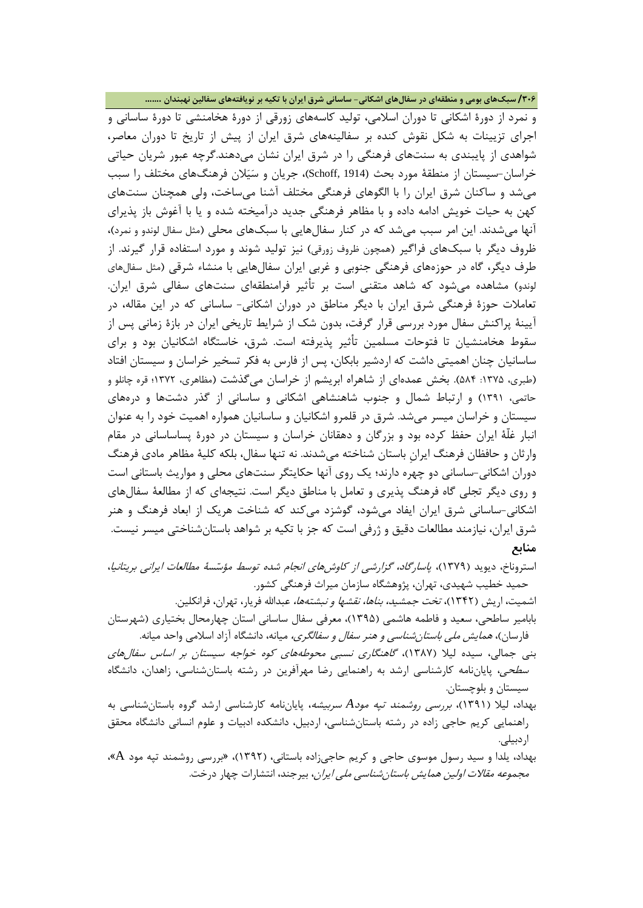**/306 سبکهاي بومی و منطقهاي در سفالهاي اشکانی- ساسانی شرق ایران با تکیه بر نویافتههاي سفالین نهبندان .......**

و نمرد از دورة اشکانی تا دوران اسلامی، تولید کاسههاي زورقی از دورة هخامنشی تا دورة ساسانی و اجراي تزیینات به شکل نقوش کنده بر سفالینههاي شرق ایران از پیش از تاریخ تا دوران معاصر، شواهدي از پایبندي به سنتهاي فرهنگی را در شرق ایران نشان میدهند.گرچه عبور شریان حیاتی خراسان-سیستان از منطقۀ مورد بحث (1914 ,Schoff(، جریان و سیلان فرهنگهاي مختلف را سبب میشد و ساکنان شرق ایران را با الگوهاي فرهنگی مختلف آشنا میساخت، ولی همچنان سنتهاي کهن به حیات خویش ادامه داده و با مظاهر فرهنگی جدید درآمیخته شده و یا با آغوش باز پذیراي آنها میشدند. این امر سبب میشد که در کنار سفالهایی با سبکهاي محلی (مثل سفال لوندو و نمرد)، ظروف دیگر با سبکهاي فراگیر (همچون ظروف زورقی) نیز تولید شوند و مورد استفاده قرار گیرند. از طرف دیگر، گاه در حوزههاي فرهنگی جنوبی و غربی ایران سفالهایی با منشاء شرقی (مثل سفالهاي لوندو) مشاهده میشود که شاهد متقنی است بر تأثیر فرامنطقهاي سنتهاي سفالی شرق ایران. تعاملات حوزة فرهنگی شرق ایران با دیگر مناطق در دوران اشکانی- ساسانی که در این مقاله، در آیینۀ پراکنش سفال مورد بررسی قرار گرفت، بدون شک از شرایط تاریخی ایران در بازة زمانی پس از سقوط هخامنشیان تا فتوحات مسلمین تأثیر پذیرفته است. شرق، خاستگاه اشکانیان بود و براي ساسانیان چنان اهمیتی داشت که اردشیر بابکان، پس از فارس به فکر تسخیر خراسان و سیستان افتاد (طبري، ۱۳۷۵: ۵۸۴). بخش عمدهاي از شاهراه ابریشم از خراسان میگذشت (مظاهري، ۱۳۷۲؛ قره چانلو و حاتمی، 1391) و ارتباط شمال و جنوب شاهنشاهی اشکانی و ساسانی از گذر دشتها و درههاي سیستان و خراسان میسر میشد. شرق در قلمرو اشکانیان و ساسانیان همواره اهمیت خود را به عنوان انبار غلّۀ ایران حفظ کرده بود و بزرگان و دهقانان خراسان و سیستان در دورة پساساسانی در مقام وارثان و حافظان فرهنگ ایرانِ باستان شناخته میشدند. نه تنها سفال، بلکه کلیۀ مظاهر مادي فرهنگ دوران اشکانی-ساسانی دو چهره دارند؛ یک روي آنها حکایتگر سنتهاي محلی و مواریث باستانی است و روي دیگر تجلی گاه فرهنگ پذیري و تعامل با مناطق دیگر است. نتیجهاي که از مطالعۀ سفالهاي اشکانی-ساسانی شرق ایران ایفاد می شود، گوشزد میکند که شناخت هریک از ابعاد فرهنگ و هنر شرق ایران، نیازمند مطالعات دقیق و ژرفی است که جز با تکیه بر شواهد باستانشناختی میسر نیست. **منابع** 

استروناخ، دیوید (1379)، پاسارگاد، گزارشی از کاوشهاي انجام شده توسط مؤسسۀ مطالعات ایرانی بریتانیا، حمید خطیب شهیدي، تهران، پژوهشگاه سازمان میراث فرهنگی کشور.

اشمیت، اریش (۱۳۴۲)، *تخت جمشید، بناها، نقشها و نبشتهها،* عبدالله فریار، تهران، فرانکلین. بابامیر ساطحی، سعید و فاطمه هاشمی (1395)، معرفی سفال ساسانی استان چهارمحال بختیاري (شهرستان فارسان)، همایش ملی باستانشناسی و هنر سفال و سفالگري، میانه، دانشگاه آزاد اسلامی واحد میانه.

بنی جمالی، سیده لیلا (1387)، گاهنگاري نسبی محوطههاي کوه خواجه سیستان بر اساس سفالهاي سطحی، پایاننامه کارشناسی ارشد به راهنمایی رضا مهرآفرین در رشته باستانشناسی، زاهدان، دانشگاه سیستان و بلوچستان.

بهداد، لیلا (1391)، بررسی روشمند تپه مود*A* سربیشه، پایاننامه کارشناسی ارشد گروه باستانشناسی به راهنمایی کریم حاجی زاده در رشته باستانشناسی، اردبیل، دانشکده ادبیات و علوم انسانی دانشگاه محقق اردبیلی.

بهداد، یلدا و سید رسول موسوي حاجی و کریم حاجیزاده باستانی، (1392)، «بررسی روشمند تپه مود A«، م*جموعه مقالات اولین همایش باستانشناسی ملی ایران*، بیرجند، انتشارات چهار درخت.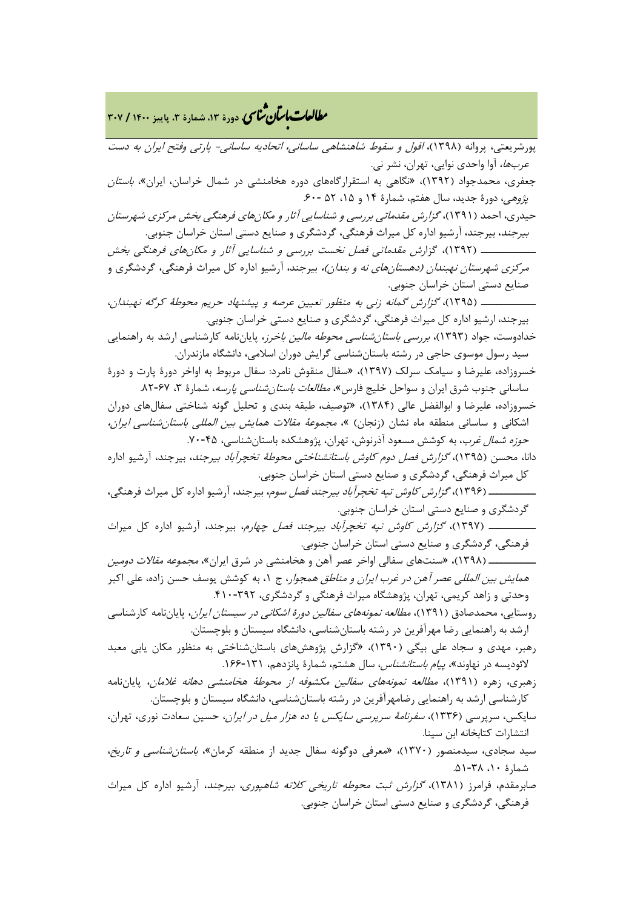**، دورة ،13 شمارة ،3 پاییز <sup>1400</sup> / <sup>307</sup>** �نا� �طا با� تان ی �عات

پورشریعتی، پروانه (۱۳۹۸)، *افول و سقوط شاهنشاهی ساسانی، اتحادیه ساسانی- پارتی وفتح ایران به دست* عربها، آوا واحدي نوایی، تهران، نشر نی. جعفري، محمدجواد (1392)، «نگاهی به استقرارگاههاي دوره هخامنشی در شمال خراسان، ایران»، باستان پژوهی، دورهٔ جدید، سال هفتم، شمارهٔ ۱۴ و ۱۵، ۵۲ -۶۰. حیدري، احمد (1391)، گزارش مقدماتی بررسی و شناسایی آثار و مکانهاي فرهنگی بخش مرکزي شهرستان بیرجند، بیرجند، آرشیو اداره کل میراث فرهنگی، گردشگري و صنایع دستی استان خراسان جنوبی. ــــــــــــــ (1392)، گزارش مقدماتی فصل نخست بررسی و شناسایی آثار و مکانهاي فرهنگی بخش مر*کزي شهرستان نهبندان (دهستانهاي نه و بندان)،* بيرجند، آرشيو اداره کل ميراث فرهنگي، گردشگري و صنایع دستی استان خراسان جنوبی. ــــــــــــــ (1395)، گزارش گمانه زنی به منظور تعیین عرصه و پیشنهاد حریم محوطۀ کرگه نهبندان، بیرجند، ارشیو اداره کل میراث فرهنگی، گردشگري و صنایع دستی خراسان جنوبی. خدادوست، جواد (1393)، بررسی باستانشناسی محوطه مالین باخرز، پایاننامه کارشناسی ارشد به راهنمایی سید رسول موسوي حاجی در رشته باستانشناسی گرایش دوران اسلامی، دانشگاه مازندران. خسروزاده، علیرضا و سیامک سرلک (1397)، «سفال منقوش نامرد: سفال مربوط به اواخر دورة پارت و دورة ساسانی جنوب شرق ایران و سواحل خلیج فارس»، *مطالعات باستان شناسی پارسه*، شمارهٔ ۳، ۶۷-۸۲. خسروزاده، علیرضا و ابوالفضل عالی (1384)، «توصیف، طبقه بندي و تحلیل گونه شناختی سفالهاي دوران اشکانی و ساسانی منطقه ماه نشان (زنجان) »، مجموعۀ مقالات همایش بین المللی باستانشناسی ایران، ح*وزه شمال غرب*، به کوشش مسعود آذرنوش، تهران، پژوهشکده باستانشناسی، ۴۵-۷۰. دانا، محسن (1395)، گزارش فصل دوم کاوش باستانشناختی محوطۀ تخچرآباد بیرجند، بیرجند، آرشیو اداره کل میراث فرهنگی، گردشگري و صنایع دستی استان خراسان جنوبی. ــــــــــــ (1396)، گزارش کاوش تپه تخچرآباد بیرجند فصل سوم، بیرجند، آرشیو اداره کل میراث فرهنگی، گردشگري و صنایع دستی استان خراسان جنوبی. ــــــــــــ (1397)، گزارش کاوش تپه تخچرآباد بیرجند فصل چهارم، بیرجند، آرشیو اداره کل میراث فرهنگی، گردشگري و صنایع دستی استان خراسان جنوبی. ــــــــــــ (1398)، «سنتهاي سفالی اواخر عصر آهن و هخامنشی در شرق ایران»، مجموعه مقالات دومین هم*ایش بین المللی عصر آهن در غرب ایران و مناطق همجوار*، ج ۱، به کوشش یوسف حسن زاده، علی اکبر وحدتی و زاهد کریمی، تهران، پژوهشگاه میراث فرهنگی و گردشگری، ۳۹۲-۴۱۰. روستایی، محمدصادق (1391)، مطالعه نمونههاي سفالین دورة اشکانی در سیستان ایران، پایاننامه کارشناسی ارشد به راهنمایی رضا مهرآفرین در رشته باستانشناسی، دانشگاه سیستان و بلوچستان. رهبر، مهدي و سجاد علی بیگی (1390)، «گزارش پژوهشهاي باستانشناختی به منظور مکان یابی معبد لائودیسه در نهاوند»، *پیام باستانشناس،* سال هشتم، شمارهٔ پانزدهم، ۱۳۱-۱۶۶. زهبري، زهره (۱۳۹۱)، *مطالعه نمونههاي سفالين مکشوفه از محوطۀ هخامنشي دهانه غلامان*، پایاننامه کارشناسی ارشد به راهنمایی رضامهرآفرین در رشته باستانشناسی، دانشگاه سیستان و بلوچستان. سایکس، سرپرسی (1336)، سفرنامۀ سرپرسی سایکس یا ده هزار میل در ایران، حسین سعادت نوري، تهران، انتشارات کتابخانه ابن سینا. سید سجادي، سیدمنصور (1370)، «معرفی دوگونه سفال جدید از منطقه کرمان»، باستانشناسی و تاریخ، شمارة ،10 .51-38 صابرمقدم، فرامرز (1381)، گزارش ثبت محوطه تاریخی کلاته شاهپوري، بیرجند، آرشیو اداره کل میراث فرهنگی، گردشگري و صنایع دستی استان خراسان جنوبی.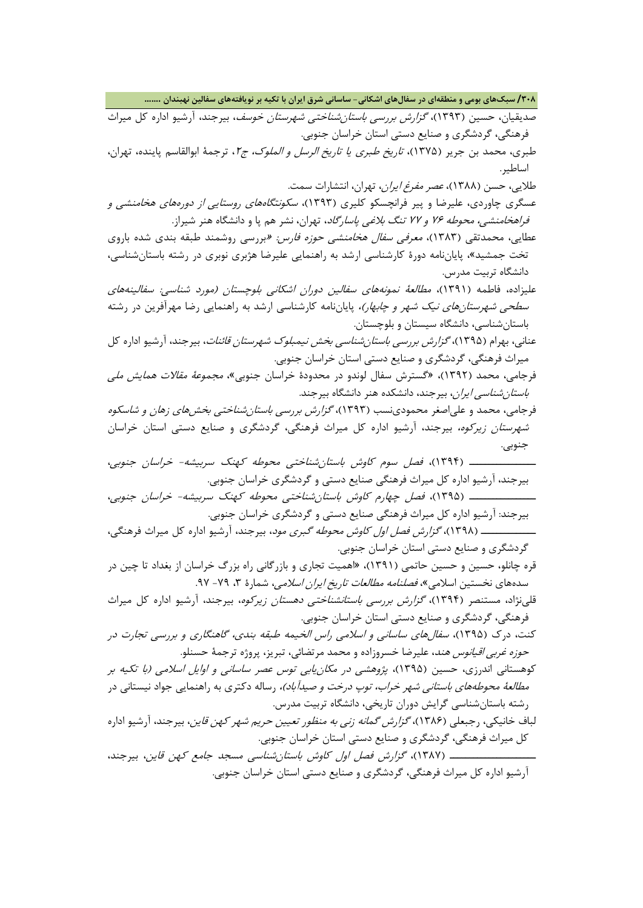**/308 سبکهاي بومی و منطقهاي در سفالهاي اشکانی- ساسانی شرق ایران با تکیه بر نویافتههاي سفالین نهبندان .......**

صدیقیان، حسین (۱۳۹۳)، *گزارش بررسی باستان شناختی شهرستان خوسف*، بیرجند، آرشیو اداره کل میراث فرهنگی، گردشگري و صنایع دستی استان خراسان جنوبی.

طبري، محمد بن جریر (۱۳۷۵)، *تاریخ طبري یا تاریخ الرسل و الملوک، ج۱*، ترجمۀ ابوالقاسم پاینده، تهران، اساطیر.

طلایی، حسن (1388)، عصر مفرغ ایران، تهران، انتشارات سمت.

عسگري چاوردي، علیرضا و پیر فرانچسکو کلیري (1393)، سکونتگاههاي روستایی از دورههاي هخامنشی و فراهخامنشی، محوطه 76 و 77 تنگ بلاغی پاسارگاد، تهران، نشر هم پا و دانشگاه هنر شیراز.

عطایی، محمدتقی (۱۳۸۳)، *معرفی سفال هخامنشی حوزه فارس: «ب*ررسی روشمند طبقه بندی شده باروی تخت جمشید»، پایاننامه دورة کارشناسی ارشد به راهنمایی علیرضا هژبري نوبري در رشته باستانشناسی، دانشگاه تربیت مدرس.

علیزاده، فاطمه (1391)، مطالعۀ نمونههاي سفالین دوران اشکانی بلوچستان (مورد شناسی: سفالینههاي *سطحی شهرستانهای نیک شهر و چابهار)،* پایاننامه کارشناسی ارشد به راهنمایی رضا مهرآفرین در رشته باستانشناسی، دانشگاه سیستان و بلوچستان.

عنانی، بهرام (۱۳۹۵)، *گزارش بررسی باستان شناسی بخش نیمبلوک شهرستان قائنات*، بیرجند، آرشیو اداره کل میراث فرهنگی، گردشگري و صنایع دستی استان خراسان جنوبی.

فرجامی، محمد (1392)، «گسترش سفال لوندو در محدودة خراسان جنوبی»، مجموعۀ مقالات همایش ملی *باستان شناسی ایران*، بیرجند، دانشکده هنر دانشگاه بیرجند.

فرجامی، محمد و علیاصغر محمودينسب (1393)، گزارش بررسی باستانشناختی بخشهاي زهان و شاسکوه شهرستان زیرکوه، بیرجند، آرشیو اداره کل میراث فرهنگی، گردشگري و صنایع دستی استان خراسان جنوبی.

ـــــــــــــــــ (1394)، فصل سوم کاوش باستانشناختی محوطه کهنک سربیشه- خراسان جنوبی، بیرجند، آرشیو اداره کل میراث فرهنگی صنایع دستی و گردشگري خراسان جنوبی. ـــــــــــــــــ (1395)، فصل چهارم کاوش باستانشناختی محوطه کهنک سربیشه- خراسان جنوبی،

بیرجند: آرشیو اداره کل میراث فرهنگی صنایع دستی و گردشگري خراسان جنوبی. ــــــــــــــ (1398)، گزارش فصل اول کاوش محوطه گبري مود، بیرجند، آرشیو اداره کل میراث فرهنگی،

گردشگري و صنایع دستی استان خراسان جنوبی.

قره چانلو، حسین و حسین حاتمی (1391)، «اهمیت تجاري و بازرگانی راه بزرگ خراسان از بغداد تا چین در سدههاي نخستين اسلامي»، *فصلنامه مطالعات تاريخ ايران اسلامي،* شمارهٔ ۳، ۷۹- ۹۷.

قلینژاد، مستنصر (1394)، گزارش بررسی باستانشناختی دهستان زیرکوه، بیرجند، آرشیو اداره کل میراث فرهنگی، گردشگري و صنایع دستی استان خراسان جنوبی.

کنت، درك (1395)، سفالهاي ساسانی و اسلامی راس الخیمه طبقه بندي، گاهنگاري و بررسی تجارت در حوزه غربی اقیانوس هند، علیرضا خسروزاده و محمد مرتضائی، تبریز، پروژه ترجمۀ حسنلو.

کوهستانی اندرزي، حسین (1395)، پژوهشی در مکانیابی توس عصر ساسانی و اوایل اسلامی (با تکیه بر *مطالعۀ محوطههای باستانی شهر خراب، توپ درخت و صیدآباد)،* رساله دکتری به راهنمایی جواد نیستانی در رشته باستانشناسی گرایش دوران تاریخی، دانشگاه تربیت مدرس.

لباف خانیکی، رجبعلی (۱۳۸۶)، *گزارش گمانه زنی به منظور تعیین حریم شهر کهن قاین*، بیرجند، آرشیو اداره کل میراث فرهنگی، گردشگري و صنایع دستی استان خراسان جنوبی.

ــــــــــــــــــــــ (1387)، گزارش فصل اول کاوش باستانشناسی مسجد جامع کهن قاین، بیرجند، آرشیو اداره کل میراث فرهنگی، گردشگري و صنایع دستی استان خراسان جنوبی.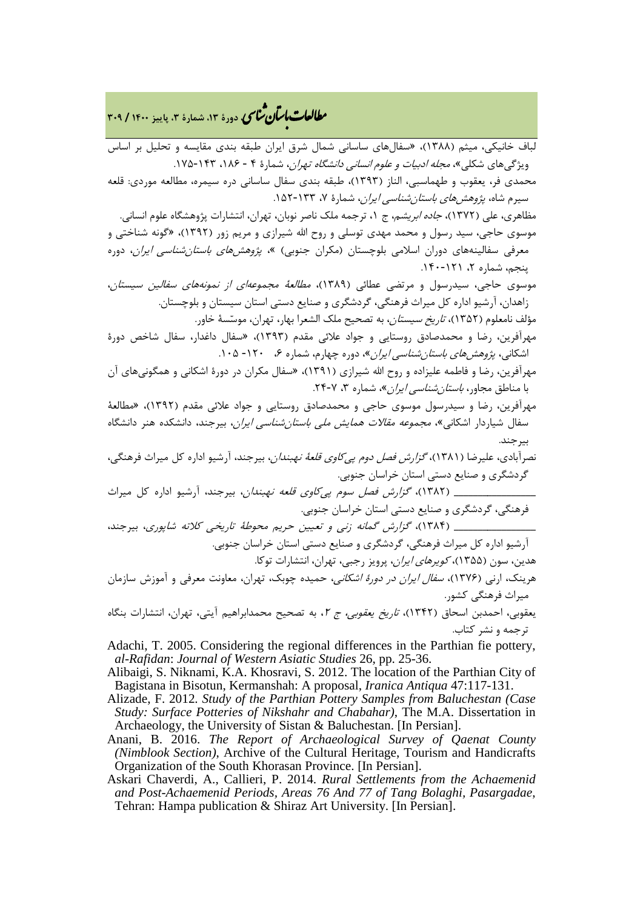## <mark>مطالعات ماسان شاسی</mark> دورهٔ ۱۳، شمارهٔ ۳، پاییز ۱۴۰۰ / ۳۰۹

لباف خانیکی، میثم (1388)، «سفالهاي ساسانی شمال شرق ایران طبقه بندي مقایسه و تحلیل بر اساس ویژگی های شکلی»، *مجله ادبیات و علوم انسانی دانشگاه تهران*، شمارهٔ ۴ - ۱۸۶، ۱۴۳-۱۷۵. محمدي فر، یعقوب و طهماسبی، الناز (1393)، طبقه بندي سفال ساسانی دره سیمره، مطالعه موردي: قلعه سیرم شاه، *پژوهش های باستان شناسی ایران*، شمارهٔ ۷، ۱۳۳-۱۵۲. مظاهري، علي (١٣٧٢)، *جاده ابريشم*، ج ١، ترجمه ملک ناصر نوبان، تهران، انتشارات پژوهشگاه علوم انساني. موسوي حاجی، سید رسول و محمد مهدي توسلی و روح االله شیرازي و مریم زور (1392)، «گونه شناختی و

معرفی سفالینههای دوران اسلامی بلوچستان (مکران جنوبی) »، *پژوهشهای باستان شناسی ایران*، دوره پنجم، شماره ۲، ۱۲۱-۱۴۰.

موسوي حاجی، سیدرسول و مرتضی عطائی (1389)، مطالعۀ مجموعهاي از نمونههاي سفالین سیستان، زاهدان، آرشیو اداره کل میراث فرهنگی، گردشگري و صنایع دستی استان سیستان و بلوچستان.

مؤلف نامعلوم (1352)، تاریخ سیستان، به تصحیح ملک الشعرا بهار، تهران، موسسۀ خاور.

مهرآفرین، رضا و محمدصادق روستایی و جواد علائی مقدم (1393)، «سفال داغدار، سفال شاخص دورة اشکانی، پژو*هش های باستان شناسی ایران»*، دوره چهارم، شماره ۶، ۱۲۰- ۱۰۵.

- مهرآفرین، رضا و فاطمه علیزاده و روح االله شیرازي (1391)، «سفال مکران در دورة اشکانی و همگونیهاي آن با مناطق مجاور، *باستان شناسی ایران»*، شماره ۳، ۷-۲۴.
- مهرآفرین، رضا و سیدرسول موسوي حاجی و محمدصادق روستایی و جواد علائی مقدم (1392)، «مطالعۀ سفال شیاردار اشکانی»، *مجموعه مقالات همایش ملی باستانشناسی ایران*، بیرجند، دانشکده هنر دانشگاه بیرجند.
- نصرآبادي، علیرضا (1381)، گزارش فصل دوم پیکاوي قلعۀ نهبندان، بیرجند، آرشیو اداره کل میراث فرهنگی، گردشگري و صنایع دستی استان خراسان جنوبی.

\_\_\_\_\_\_\_\_\_\_\_\_\_\_\_\_\_ (1382)، گزارش فصل سوم پیکاوي قلعه نهبندان، بیرجند، آرشیو اداره کل میراث فرهنگی، گردشگري و صنایع دستی استان خراسان جنوبی.

\_\_\_\_\_\_\_\_\_\_\_\_\_\_\_\_\_ (1384)، گزارش گمانه زنی و تعیین حریم محوطۀ تاریخی کلاته شاپوري، بیرجند، آرشیو اداره کل میراث فرهنگی، گردشگري و صنایع دستی استان خراسان جنوبی.

هدین، سون (1355)، کویرهاي ایران، پرویز رجبی، تهران، انتشارات توکا.

هرینک، ارنی (۱۳۷۶)، *سفال ایران در دورهٔ اشکانی*، حمیده چوبک، تهران، معاونت معرفی و آموزش سازمان میراث فرهنگی کشور.

یعقوبی، احمدبن اسحاق (۱۳۴۲)، *تاریخ یعقوبی، ج ۲*، به تصحیح محمدابراهیم آیتی، تهران، انتشارات بنگاه ترجمه و نشر کتاب.

Adachi, T. 2005. Considering the regional differences in the Parthian fie pottery, *al-Rafidan*: *Journal of Western Asiatic Studies* 26, pp. 25-36.

Alibaigi, S. Niknami, K.A. Khosravi, S. 2012. The location of the Parthian City of Bagistana in Bisotun, Kermanshah: A proposal, *Iranica Antiqua* 47:117-131.

- Alizade, F. 2012*. Study of the Parthian Pottery Samples from Baluchestan (Case Study: Surface Potteries of Nikshahr and Chabahar)*, The M.A. Dissertation in Archaeology, the University of Sistan & Baluchestan. [In Persian].
- Anani, B. 2016. *The Report of Archaeological Survey of Qaenat County (Nimblook Section)*, Archive of the Cultural Heritage, Tourism and Handicrafts Organization of the South Khorasan Province. [In Persian].
- Askari Chaverdi, A., Callieri, P. 2014. *Rural Settlements from the Achaemenid and Post-Achaemenid Periods, Areas 76 And 77 of Tang Bolaghi, Pasargadae*, Tehran: Hampa publication & Shiraz Art University. [In Persian].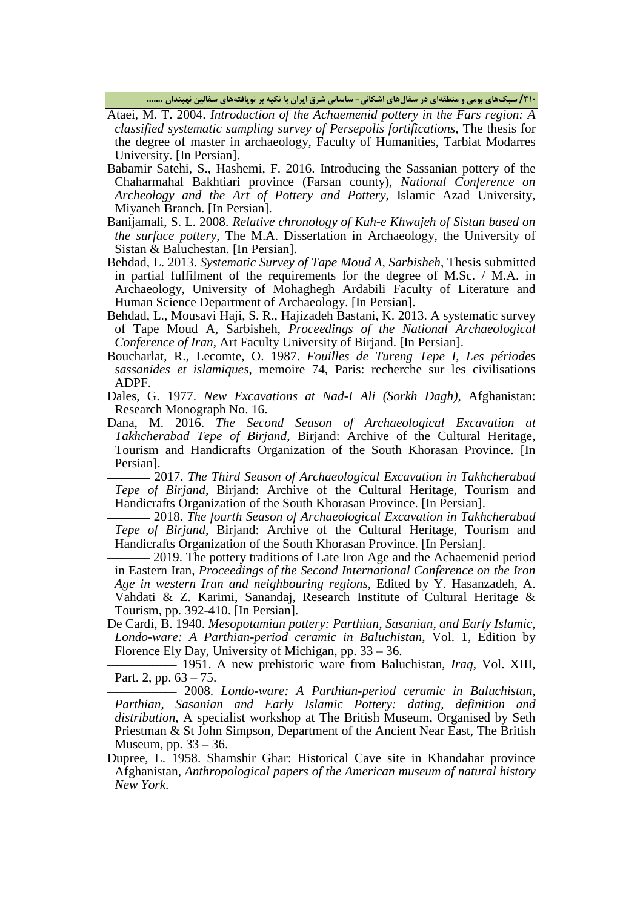**/310 سبکهاي بومی و منطقهاي در سفالهاي اشکانی- ساسانی شرق ایران با تکیه بر نویافتههاي سفالین نهبندان .......**

Ataei, M. T. 2004. *Introduction of the Achaemenid pottery in the Fars region: A classified systematic sampling survey of Persepolis fortifications*, The thesis for the degree of master in archaeology, Faculty of Humanities, Tarbiat Modarres University. [In Persian].

- Babamir Satehi, S., Hashemi, F. 2016. Introducing the Sassanian pottery of the Chaharmahal Bakhtiari province (Farsan county), *National Conference on Archeology and the Art of Pottery and Pottery*, Islamic Azad University, Miyaneh Branch. [In Persian].
- Banijamali, S. L. 2008. *Relative chronology of Kuh-e Khwajeh of Sistan based on the surface pottery*, The M.A. Dissertation in Archaeology, the University of Sistan & Baluchestan. [In Persian].
- Behdad, L. 2013. *Systematic Survey of Tape Moud A, Sarbisheh*, Thesis submitted in partial fulfilment of the requirements for the degree of M.Sc. / M.A. in Archaeology, University of Mohaghegh Ardabili Faculty of Literature and Human Science Department of Archaeology. [In Persian].
- Behdad, L., Mousavi Haji, S. R., Hajizadeh Bastani, K. 2013. A systematic survey of Tape Moud A, Sarbisheh, *Proceedings of the National Archaeological Conference of Iran*, Art Faculty University of Birjand. [In Persian].
- Boucharlat, R., Lecomte, O. 1987. *Fouilles de Tureng Tepe I*, *Les périodes sassanides et islamiques*, memoire 74, Paris: recherche sur les civilisations ADPF.
- Dales, G. 1977. *New Excavations at Nad-I Ali (Sorkh Dagh)*, Afghanistan: Research Monograph No. 16.
- Dana, M. 2016. *The Second Season of Archaeological Excavation at Takhcherabad Tepe of Birjand*, Birjand: Archive of the Cultural Heritage, Tourism and Handicrafts Organization of the South Khorasan Province. [In Persian].

ــــــــــــــــ 2017. *The Third Season of Archaeological Excavation in Takhcherabad Tepe of Birjand*, Birjand: Archive of the Cultural Heritage, Tourism and Handicrafts Organization of the South Khorasan Province. [In Persian].

ــــــــــــــــ 2018. *The fourth Season of Archaeological Excavation in Takhcherabad Tepe of Birjand*, Birjand: Archive of the Cultural Heritage, Tourism and Handicrafts Organization of the South Khorasan Province. [In Persian].

- 2019. The pottery traditions of Late Iron Age and the Achaemenid period in Eastern Iran, *Proceedings of the Second International Conference on the Iron Age in western Iran and neighbouring regions*, Edited by Y. Hasanzadeh, A. Vahdati & Z. Karimi, Sanandaj, Research Institute of Cultural Heritage & Tourism, pp. 392-410. [In Persian].

De Cardi, B. 1940. *Mesopotamian pottery: Parthian, Sasanian, and Early Islamic, Londo-ware: A Parthian-period ceramic in Baluchistan*, Vol. 1, Edition by Florence Ely Day, University of Michigan, pp. 33 – 36.

ــــــــــــــــــــــــــ 1951. A new prehistoric ware from Baluchistan, *Iraq*, Vol. XIII, Part. 2, pp. 63 – 75.

ــــــــــــــــــــــــــ 2008. *Londo-ware: A Parthian-period ceramic in Baluchistan, Parthian, Sasanian and Early Islamic Pottery: dating, definition and distribution*, A specialist workshop at The British Museum, Organised by Seth Priestman & St John Simpson, Department of the Ancient Near East, The British Museum, pp. 33 – 36.

Dupree, L. 1958. Shamshir Ghar: Historical Cave site in Khandahar province Afghanistan, *Anthropological papers of the American museum of natural history New York*.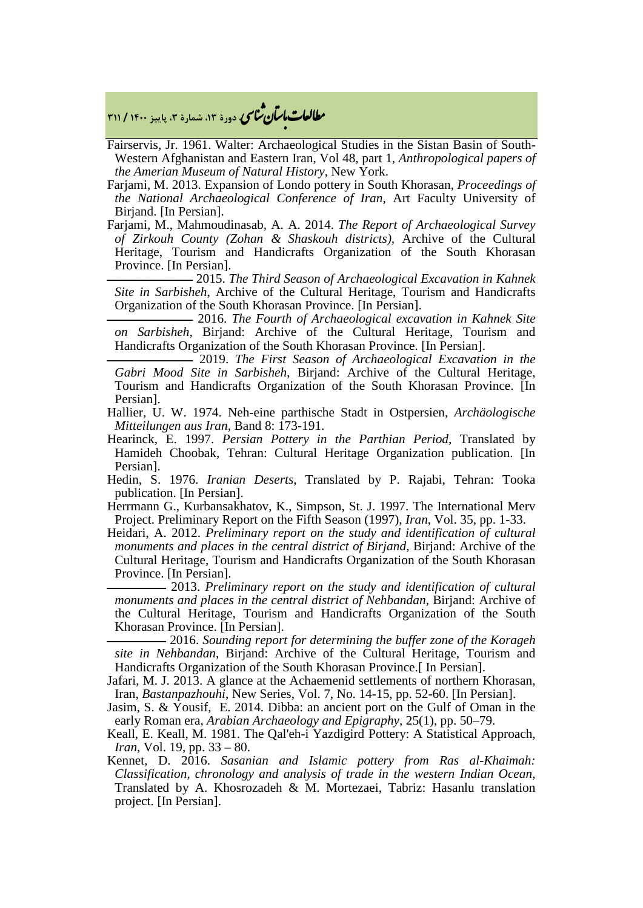**، دورة ،13 شمارة ،3 پاییز <sup>1400</sup> / <sup>311</sup>** �نا� �طا با� تان ی �عات

Fairservis, Jr. 1961. Walter: Archaeological Studies in the Sistan Basin of South-Western Afghanistan and Eastern Iran, Vol 48, part 1*, Anthropological papers of the Amerian Museum of Natural History*, New York.

Farjami, M. 2013. Expansion of Londo pottery in South Khorasan, *Proceedings of the National Archaeological Conference of Iran*, Art Faculty University of Birjand. [In Persian].

Farjami, M., Mahmoudinasab, A. A. 2014. *The Report of Archaeological Survey of Zirkouh County (Zohan & Shaskouh districts),* Archive of the Cultural Heritage, Tourism and Handicrafts Organization of the South Khorasan Province. [In Persian].

ــــــــــــــــــــــــــــــــ 2015. *The Third Season of Archaeological Excavation in Kahnek Site in Sarbisheh*, Archive of the Cultural Heritage, Tourism and Handicrafts Organization of the South Khorasan Province. [In Persian].

ــــــــــــــــــــــــــــــــ 2016. *The Fourth of Archaeological excavation in Kahnek Site on Sarbisheh,* Birjand: Archive of the Cultural Heritage, Tourism and Handicrafts Organization of the South Khorasan Province. [In Persian].

 $-$  2019. The First Season of Archaeological Excavation in the *Gabri Mood Site in Sarbisheh*, Birjand: Archive of the Cultural Heritage, Tourism and Handicrafts Organization of the South Khorasan Province. [In Persian].

Hallier, U. W. 1974. Neh-eine parthische Stadt in Ostpersien, *Archäologische Mitteilungen aus Iran,* Band 8: 173-191.

Hearinck, E. 1997. *Persian Pottery in the Parthian Period*, Translated by Hamideh Choobak, Tehran: Cultural Heritage Organization publication. [In Persian].

Hedin, S. 1976. *Iranian Deserts*, Translated by P. Rajabi, Tehran: Tooka publication. [In Persian].

Herrmann G., Kurbansakhatov, K., Simpson, St. J. 1997. The International Merv Project. Preliminary Report on the Fifth Season (1997), *Iran*, Vol. 35, pp. 1-33.

Heidari, A. 2012. *Preliminary report on the study and identification of cultural monuments and places in the central district of Birjand*, Birjand: Archive of the Cultural Heritage, Tourism and Handicrafts Organization of the South Khorasan Province. [In Persian].

ــــــــــــــــــــــ 2013. *Preliminary report on the study and identification of cultural monuments and places in the central district of Nehbandan*, Birjand: Archive of the Cultural Heritage, Tourism and Handicrafts Organization of the South Khorasan Province. [In Persian].

ــــــــــــــــــــــ 2016. *Sounding report for determining the buffer zone of the Korageh site in Nehbandan*, Birjand: Archive of the Cultural Heritage, Tourism and Handicrafts Organization of the South Khorasan Province.[In Persian].

Jafari, M. J. 2013. A glance at the Achaemenid settlements of northern Khorasan, Iran, *Bastanpazhouhi*, New Series, Vol. 7, No. 14-15, pp. 52-60. [In Persian].

Jasim, S. & Yousif, E. 2014. Dibba: an ancient port on the Gulf of Oman in the early Roman era, *Arabian Archaeology and Epigraphy*, 25(1), pp. 50–79.

Keall, E. Keall, M. 1981. The Qal'eh-i Yazdigird Pottery: A Statistical Approach, *Iran*, Vol. 19, pp. 33 – 80.

Kennet, D. 2016. *Sasanian and Islamic pottery from Ras al-Khaimah: Classification, chronology and analysis of trade in the western Indian Ocean,*  Translated by A. Khosrozadeh & M. Mortezaei, Tabriz: Hasanlu translation project. [In Persian].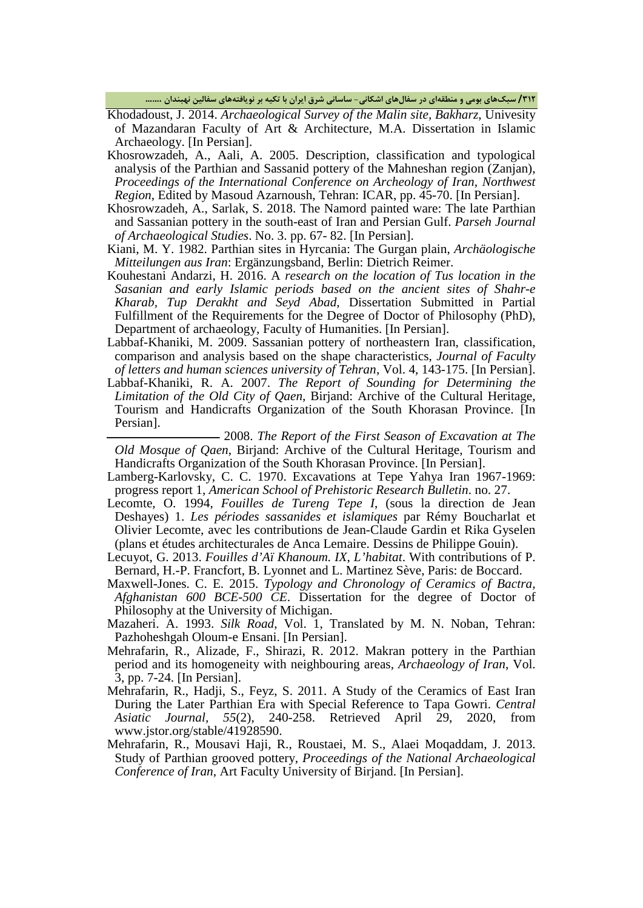**/312 سبکهاي بومی و منطقهاي در سفالهاي اشکانی- ساسانی شرق ایران با تکیه بر نویافتههاي سفالین نهبندان .......**

Khodadoust, J. 2014. *Archaeological Survey of the Malin site, Bakharz*, Univesity of Mazandaran Faculty of Art & Architecture, M.A. Dissertation in Islamic Archaeology. [In Persian].

- Khosrowzadeh, A., Aali, A. 2005. Description, classification and typological analysis of the Parthian and Sassanid pottery of the Mahneshan region (Zanjan), *Proceedings of the International Conference on Archeology of Iran, Northwest Region*, Edited by Masoud Azarnoush, Tehran: ICAR, pp. 45-70. [In Persian].
- Khosrowzadeh, A., Sarlak, S. 2018. The Namord painted ware: The late Parthian and Sassanian pottery in the south-east of Iran and Persian Gulf. *Parseh Journal of Archaeological Studies*. No. 3. pp. 67- 82. [In Persian].
- Kiani, M. Y. 1982. Parthian sites in Hyrcania: The Gurgan plain, *Archäologische Mitteilungen aus Iran*: Ergänzungsband, Berlin: Dietrich Reimer.
- Kouhestani Andarzi, H. 2016. A *research on the location of Tus location in the Sasanian and early Islamic periods based on the ancient sites of Shahr-e Kharab, Tup Derakht and Seyd Abad*, Dissertation Submitted in Partial Fulfillment of the Requirements for the Degree of Doctor of Philosophy (PhD), Department of archaeology, Faculty of Humanities. [In Persian].
- Labbaf-Khaniki, M. 2009. Sassanian pottery of northeastern Iran, classification, comparison and analysis based on the shape characteristics, *Journal of Faculty of letters and human sciences university of Tehran*, Vol. 4, 143-175. [In Persian].
- Labbaf-Khaniki, R. A. 2007. *The Report of Sounding for Determining the Limitation of the Old City of Qaen,* Birjand: Archive of the Cultural Heritage, Tourism and Handicrafts Organization of the South Khorasan Province. [In Persian].

ــــــــــــــــــــــــــــــــــــــــــ 2008. *The Report of the First Season of Excavation at The Old Mosque of Qaen*, Birjand: Archive of the Cultural Heritage, Tourism and Handicrafts Organization of the South Khorasan Province. [In Persian].

- Lamberg-Karlovsky, C. C. 1970. Excavations at Tepe Yahya Iran 1967-1969: progress report 1, *American School of Prehistoric Research Bulletin*. no. 27.
- Lecomte, O. 1994, *Fouilles de Tureng Tepe I*, (sous la direction de Jean Deshayes) 1. *Les périodes sassanides et islamiques* par Rémy Boucharlat et Olivier Lecomte, avec les contributions de Jean-Claude Gardin et Rika Gyselen (plans et études architecturales de Anca Lemaire. Dessins de Philippe Gouin).
- Lecuyot, G. 2013. *Fouilles d'Aï Khanoum. IX*, *L'habitat*. With contributions of P. Bernard, H.-P. Francfort, B. Lyonnet and L. Martinez Sève, Paris: de Boccard.
- Maxwell-Jones. C. E. 2015. *Typology and Chronology of Ceramics of Bactra, Afghanistan 600 BCE-500 CE*. Dissertation for the degree of Doctor of Philosophy at the University of Michigan.
- Mazaheri. A. 1993. *Silk Road*, Vol. 1, Translated by M. N. Noban, Tehran: Pazhoheshgah Oloum-e Ensani. [In Persian].
- Mehrafarin, R., Alizade, F., Shirazi, R. 2012. Makran pottery in the Parthian period and its homogeneity with neighbouring areas, *Archaeology of Iran*, Vol. 3, pp. 7-24. [In Persian].
- Mehrafarin, R., Hadji, S., Feyz, S. 2011. A Study of the Ceramics of East Iran During the Later Parthian Era with Special Reference to Tapa Gowri. *Central Asiatic Journal, 55*(2), 240-258. Retrieved April 29, 2020, from www.jstor.org/stable/41928590.
- Mehrafarin, R., Mousavi Haji, R., Roustaei, M. S., Alaei Moqaddam, J. 2013. Study of Parthian grooved pottery, *Proceedings of the National Archaeological Conference of Iran*, Art Faculty University of Birjand. [In Persian].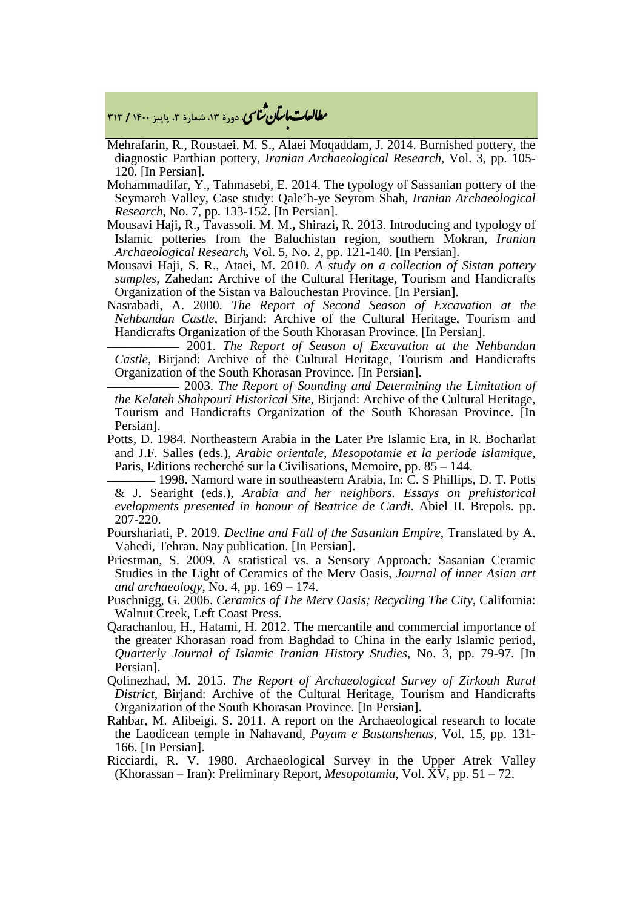م**طالعات ماسان شماسی** دورهٔ ۱۳، شمارهٔ ۳، پاییز ۱۴۰۰ / ۳۱۳

- Mehrafarin, R., Roustaei. M. S., Alaei Moqaddam, J. 2014. Burnished pottery, the diagnostic Parthian pottery, *Iranian Archaeological Research*, Vol. 3, pp. 105- 120. [In Persian].
- Mohammadifar, Y., Tahmasebi, E. 2014. The typology of Sassanian pottery of the Seymareh Valley, Case study: Qale'h-ye Seyrom Shah, *Iranian Archaeological Research*, No. 7, pp. 133-152. [In Persian].
- Mousavi Haji**,** R.**,** Tavassoli. M. M.**,** Shirazi**,** R. 2013. Introducing and typology of Islamic potteries from the Baluchistan region, southern Mokran, *Iranian Archaeological Research,* Vol. 5, No. 2, pp. 121-140. [In Persian].
- Mousavi Haji, S. R., Ataei, M. 2010. *A study on a collection of Sistan pottery samples*, Zahedan: Archive of the Cultural Heritage, Tourism and Handicrafts Organization of the Sistan va Balouchestan Province. [In Persian].
- Nasrabadi, A. 2000. *The Report of Second Season of Excavation at the Nehbandan Castle,* Birjand: Archive of the Cultural Heritage, Tourism and Handicrafts Organization of the South Khorasan Province. [In Persian].

ـــــــــــــــــــــــــــ 2001. *The Report of Season of Excavation at the Nehbandan Castle,* Birjand: Archive of the Cultural Heritage, Tourism and Handicrafts Organization of the South Khorasan Province. [In Persian].

ـــــــــــــــــــــــــــ 2003. *The Report of Sounding and Determining the Limitation of the Kelateh Shahpouri Historical Site*, Birjand: Archive of the Cultural Heritage, Tourism and Handicrafts Organization of the South Khorasan Province. [In Persian].

Potts, D. 1984. Northeastern Arabia in the Later Pre Islamic Era, in R. Bocharlat and J.F. Salles (eds.), *Arabic orientale, Mesopotamie et la periode islamique*, Paris, Editions recherché sur la Civilisations, Memoire, pp. 85 – 144.

 $-$  1998. Namord ware in southeastern Arabia, In: C. S Phillips, D. T. Potts & J. Searight (eds.), *Arabia and her neighbors. Essays on prehistorical evelopments presented in honour of Beatrice de Cardi*. Abiel II. Brepols. pp. 207-220.

Pourshariati, P. 2019. *Decline and Fall of the Sasanian Empire*, Translated by A. Vahedi, Tehran. Nay publication. [In Persian].

Priestman, S. 2009. A statistical vs. a Sensory Approach*:* Sasanian Ceramic Studies in the Light of Ceramics of the Merv Oasis, *Journal of inner Asian art and archaeology*, No. 4, pp. 169 – 174.

- Puschnigg, G. 2006. *Ceramics of The Merv Oasis; Recycling The City*, California: Walnut Creek, Left Coast Press.
- Qarachanlou, H., Hatami, H. 2012. The mercantile and commercial importance of the greater Khorasan road from Baghdad to China in the early Islamic period, *Quarterly Journal of Islamic Iranian History Studies*, No. 3, pp. 79-97. [In Persian].
- Qolinezhad, M. 2015. *The Report of Archaeological Survey of Zirkouh Rural District*, Birjand: Archive of the Cultural Heritage, Tourism and Handicrafts Organization of the South Khorasan Province. [In Persian].
- Rahbar, M. Alibeigi, S. 2011. A report on the Archaeological research to locate the Laodicean temple in Nahavand, *Payam e Bastanshenas*, Vol. 15, pp. 131- 166. [In Persian].
- Ricciardi, R. V. 1980. Archaeological Survey in the Upper Atrek Valley (Khorassan *–* Iran): Preliminary Report, *Mesopotamia*, Vol. XV, pp. 51 – 72.